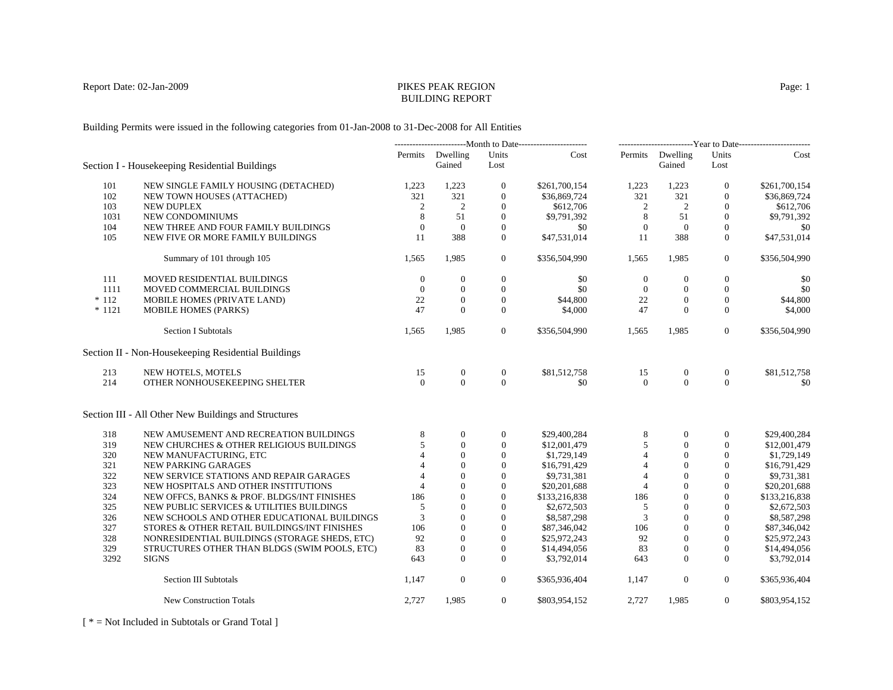# BUILDING REPORT

Building Permits were issued in the following categories from 01-Jan-2008 to 31-Dec-2008 for All Entities

|          |                                                      | ----------------------------Month to Date------------------------ |                            | -------------------------Year to Date------------------------ |               |                |                            |                  |               |
|----------|------------------------------------------------------|-------------------------------------------------------------------|----------------------------|---------------------------------------------------------------|---------------|----------------|----------------------------|------------------|---------------|
|          | Section I - Housekeeping Residential Buildings       |                                                                   | Permits Dwelling<br>Gained | Units<br>Lost                                                 | Cost          |                | Permits Dwelling<br>Gained | Units<br>Lost    | Cost          |
| 101      | NEW SINGLE FAMILY HOUSING (DETACHED)                 | 1,223                                                             | 1,223                      | $\overline{0}$                                                | \$261,700,154 | 1,223          | 1,223                      | $\mathbf{0}$     | \$261,700,154 |
| 102      | NEW TOWN HOUSES (ATTACHED)                           | 321                                                               | 321                        | $\boldsymbol{0}$                                              | \$36,869,724  | 321            | 321                        | $\mathbf{0}$     | \$36,869,724  |
| 103      | <b>NEW DUPLEX</b>                                    | 2                                                                 | 2                          | $\mathbf{0}$                                                  | \$612,706     | 2              | 2                          | $\mathbf{0}$     | \$612,706     |
| 1031     | NEW CONDOMINIUMS                                     | 8                                                                 | 51                         | $\mathbf{0}$                                                  | \$9,791,392   | 8              | 51                         | $\mathbf{0}$     | \$9,791,392   |
| 104      | NEW THREE AND FOUR FAMILY BUILDINGS                  | $\mathbf{0}$                                                      | $\mathbf{0}$               | $\mathbf{0}$                                                  | \$0           | $\mathbf{0}$   | $\overline{0}$             | $\mathbf{0}$     | \$0           |
| 105      | NEW FIVE OR MORE FAMILY BUILDINGS                    | 11                                                                | 388                        | $\mathbf{0}$                                                  | \$47,531,014  | 11             | 388                        | $\mathbf{0}$     | \$47,531,014  |
|          | Summary of 101 through 105                           | 1,565                                                             | 1,985                      | $\overline{0}$                                                | \$356,504,990 | 1,565          | 1,985                      | $\overline{0}$   | \$356,504,990 |
| 111      | MOVED RESIDENTIAL BUILDINGS                          | $\theta$                                                          | $\theta$                   | $\overline{0}$                                                | \$0           | $\mathbf{0}$   | $\theta$                   | $\mathbf{0}$     | \$0           |
| 1111     | MOVED COMMERCIAL BUILDINGS                           | $\theta$                                                          | $\mathbf{0}$               | $\mathbf{0}$                                                  | \$0           | $\mathbf{0}$   | $\mathbf{0}$               | $\mathbf{0}$     | \$0           |
| $*112$   | MOBILE HOMES (PRIVATE LAND)                          | 22                                                                | $\theta$                   | $\boldsymbol{0}$                                              | \$44,800      | 22             | $\overline{0}$             | $\mathbf{0}$     | \$44,800      |
| $* 1121$ | MOBILE HOMES (PARKS)                                 | 47                                                                | $\Omega$                   | $\mathbf{0}$                                                  | \$4,000       | 47             | $\Omega$                   | $\theta$         | \$4,000       |
|          | <b>Section I Subtotals</b>                           | 1,565                                                             | 1,985                      | $\overline{0}$                                                | \$356,504,990 | 1,565          | 1,985                      | $\overline{0}$   | \$356,504,990 |
|          | Section II - Non-Housekeeping Residential Buildings  |                                                                   |                            |                                                               |               |                |                            |                  |               |
| 213      | NEW HOTELS, MOTELS                                   | 15                                                                | $\overline{0}$             | $\boldsymbol{0}$                                              | \$81,512,758  | 15             | $\mathbf{0}$               | $\boldsymbol{0}$ | \$81,512,758  |
| 214      | OTHER NONHOUSEKEEPING SHELTER                        | $\Omega$                                                          | $\Omega$                   | $\Omega$                                                      | \$0           | $\Omega$       | $\Omega$                   | $\Omega$         | \$0           |
|          | Section III - All Other New Buildings and Structures |                                                                   |                            |                                                               |               |                |                            |                  |               |
| 318      | NEW AMUSEMENT AND RECREATION BUILDINGS               | 8                                                                 | $\mathbf{0}$               | $\boldsymbol{0}$                                              | \$29,400,284  | 8              | $\overline{0}$             | $\mathbf{0}$     | \$29,400,284  |
| 319      | NEW CHURCHES & OTHER RELIGIOUS BUILDINGS             | 5                                                                 | $\Omega$                   | $\mathbf{0}$                                                  | \$12,001,479  | 5              | $\Omega$                   | $\mathbf{0}$     | \$12,001,479  |
| 320      | NEW MANUFACTURING, ETC                               |                                                                   | $\Omega$                   | $\overline{0}$                                                | \$1,729,149   | $\overline{4}$ | $\Omega$                   | $\mathbf{0}$     | \$1,729,149   |
| 321      | NEW PARKING GARAGES                                  |                                                                   | $\Omega$                   | $\mathbf{0}$                                                  | \$16,791,429  | $\overline{4}$ | $\Omega$                   | $\Omega$         | \$16,791,429  |
| 322      | NEW SERVICE STATIONS AND REPAIR GARAGES              | $\Delta$                                                          | $\Omega$                   | $\mathbf{0}$                                                  | \$9,731,381   | $\overline{4}$ | $\Omega$                   | $\Omega$         | \$9,731,381   |
| 323      | NEW HOSPITALS AND OTHER INSTITUTIONS                 | $\overline{4}$                                                    | $\theta$                   | $\mathbf{0}$                                                  | \$20,201,688  | $\overline{4}$ | $\overline{0}$             | $\mathbf{0}$     | \$20,201,688  |
| 324      | NEW OFFCS, BANKS & PROF. BLDGS/INT FINISHES          | 186                                                               | $\overline{0}$             | $\mathbf{0}$                                                  | \$133,216,838 | 186            | $\mathbf{0}$               | $\mathbf{0}$     | \$133,216,838 |
| 325      | NEW PUBLIC SERVICES & UTILITIES BUILDINGS            | 5                                                                 | $\mathbf{0}$               | $\overline{0}$                                                | \$2,672,503   | 5              | $\mathbf{0}$               | $\mathbf{0}$     | \$2,672,503   |
| 326      | NEW SCHOOLS AND OTHER EDUCATIONAL BUILDINGS          | 3                                                                 | $\mathbf{0}$               | $\mathbf{0}$                                                  | \$8,587,298   | 3              | $\Omega$                   | $\mathbf{0}$     | \$8,587,298   |
| 327      | STORES & OTHER RETAIL BUILDINGS/INT FINISHES         | 106                                                               | $\mathbf{0}$               | $\overline{0}$                                                | \$87,346,042  | 106            | $\mathbf{0}$               | $\Omega$         | \$87,346,042  |
| 328      | NONRESIDENTIAL BUILDINGS (STORAGE SHEDS, ETC)        | 92                                                                | $\Omega$                   | $\mathbf{0}$                                                  | \$25,972,243  | 92             | $\Omega$                   | $\Omega$         | \$25,972,243  |
| 329      | STRUCTURES OTHER THAN BLDGS (SWIM POOLS, ETC)        | 83                                                                | $\mathbf{0}$               | $\overline{0}$                                                | \$14,494,056  | 83             | $\mathbf{0}$               | $\mathbf{0}$     | \$14,494,056  |
| 3292     | <b>SIGNS</b>                                         | 643                                                               | $\Omega$                   | $\Omega$                                                      | \$3,792,014   | 643            | $\Omega$                   | $\mathbf{0}$     | \$3,792,014   |
|          | <b>Section III Subtotals</b>                         | 1.147                                                             | $\overline{0}$             | $\overline{0}$                                                | \$365,936,404 | 1,147          | $\mathbf{0}$               | $\overline{0}$   | \$365,936,404 |
|          | <b>New Construction Totals</b>                       | 2,727                                                             | 1,985                      | $\overline{0}$                                                | \$803,954,152 | 2,727          | 1,985                      | $\mathbf{0}$     | \$803,954,152 |

[ \* = Not Included in Subtotals or Grand Total ]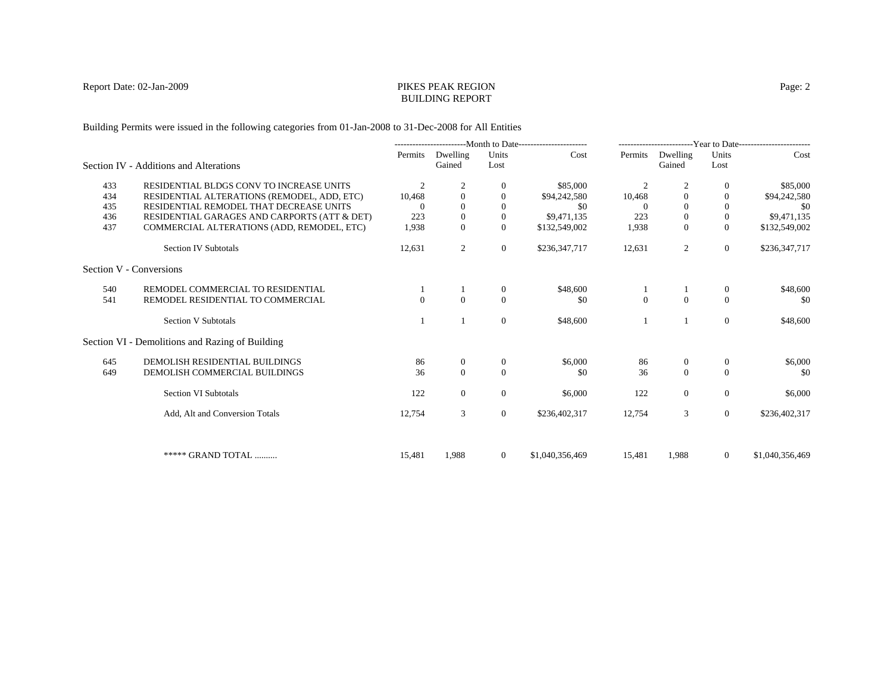#### Report Date: 02-Jan-2009 PIKES PEAK REGION BUILDING REPORT

Building Permits were issued in the following categories from 01-Jan-2008 to 31-Dec-2008 for All Entities

|     |                                                 | ---------------------------Month to Date----------------------- |                    |                  | -------------------------Year to Date------------------------ |                |                    |                  |                 |
|-----|-------------------------------------------------|-----------------------------------------------------------------|--------------------|------------------|---------------------------------------------------------------|----------------|--------------------|------------------|-----------------|
|     | Section IV - Additions and Alterations          | Permits                                                         | Dwelling<br>Gained | Units<br>Lost    | Cost                                                          | Permits        | Dwelling<br>Gained | Units<br>Lost    | Cost            |
| 433 | RESIDENTIAL BLDGS CONV TO INCREASE UNITS        | 2                                                               | $\overline{2}$     | $\mathbf{0}$     | \$85,000                                                      | $\overline{c}$ |                    | $\overline{0}$   | \$85,000        |
| 434 | RESIDENTIAL ALTERATIONS (REMODEL, ADD, ETC)     | 10,468                                                          | $\Omega$           | $\Omega$         | \$94,242,580                                                  | 10,468         | $\overline{0}$     | $\theta$         | \$94,242,580    |
| 435 | RESIDENTIAL REMODEL THAT DECREASE UNITS         | $\Omega$                                                        | $\Omega$           | $\Omega$         | \$0                                                           | $\Omega$       | $\theta$           | $\theta$         | \$0             |
| 436 | RESIDENTIAL GARAGES AND CARPORTS (ATT & DET)    | 223                                                             | $\Omega$           | $\Omega$         | \$9,471,135                                                   | 223            | $\theta$           | $\mathbf{0}$     | \$9,471,135     |
| 437 | COMMERCIAL ALTERATIONS (ADD, REMODEL, ETC)      | 1,938                                                           | $\Omega$           | $\Omega$         | \$132,549,002                                                 | 1,938          | $\Omega$           | $\overline{0}$   | \$132,549,002   |
|     | <b>Section IV Subtotals</b>                     | 12,631                                                          | 2                  | $\overline{0}$   | \$236,347,717                                                 | 12,631         | 2                  | $\overline{0}$   | \$236,347,717   |
|     | Section V - Conversions                         |                                                                 |                    |                  |                                                               |                |                    |                  |                 |
| 540 | REMODEL COMMERCIAL TO RESIDENTIAL               |                                                                 |                    | $\boldsymbol{0}$ | \$48,600                                                      |                |                    | $\boldsymbol{0}$ | \$48,600        |
| 541 | REMODEL RESIDENTIAL TO COMMERCIAL               | $\Omega$                                                        | $\Omega$           | $\Omega$         | \$0                                                           | $\Omega$       | $\Omega$           | $\Omega$         | \$0             |
|     | <b>Section V Subtotals</b>                      |                                                                 |                    | $\mathbf{0}$     | \$48,600                                                      |                |                    | $\theta$         | \$48,600        |
|     | Section VI - Demolitions and Razing of Building |                                                                 |                    |                  |                                                               |                |                    |                  |                 |
| 645 | DEMOLISH RESIDENTIAL BUILDINGS                  | 86                                                              | $\overline{0}$     | $\mathbf{0}$     | \$6,000                                                       | 86             | $\mathbf{0}$       | $\overline{0}$   | \$6,000         |
| 649 | DEMOLISH COMMERCIAL BUILDINGS                   | 36                                                              | $\Omega$           | $\Omega$         | \$0                                                           | 36             | $\Omega$           | $\theta$         | -\$0            |
|     | Section VI Subtotals                            | 122                                                             | $\overline{0}$     | $\overline{0}$   | \$6,000                                                       | 122            | $\mathbf{0}$       | $\overline{0}$   | \$6,000         |
|     | Add, Alt and Conversion Totals                  | 12,754                                                          | 3                  | $\overline{0}$   | \$236,402,317                                                 | 12,754         | 3                  | $\theta$         | \$236,402,317   |
|     |                                                 |                                                                 |                    |                  |                                                               |                |                    |                  |                 |
|     | ***** GRAND TOTAL                               | 15,481                                                          | 1,988              | $\overline{0}$   | \$1,040,356,469                                               | 15,481         | 1,988              | $\overline{0}$   | \$1,040,356,469 |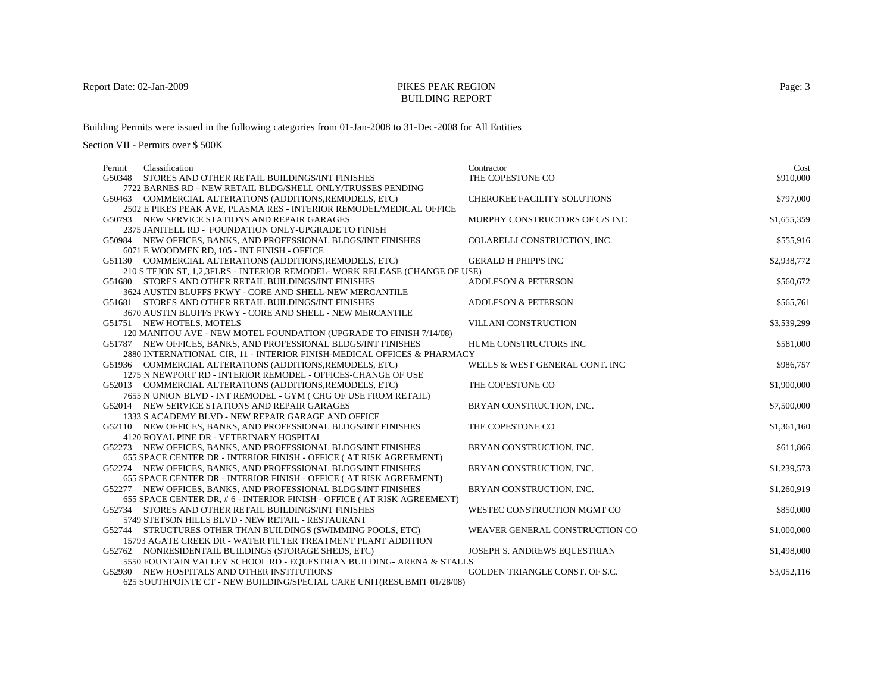## BUILDING REPORT

Building Permits were issued in the following categories from 01-Jan-2008 to 31-Dec-2008 for All Entities

| Permit | Classification                                                                                                           | Contractor                     | Cost        |
|--------|--------------------------------------------------------------------------------------------------------------------------|--------------------------------|-------------|
| G50348 | STORES AND OTHER RETAIL BUILDINGS/INT FINISHES                                                                           | THE COPESTONE CO               | \$910,000   |
|        | 7722 BARNES RD - NEW RETAIL BLDG/SHELL ONLY/TRUSSES PENDING                                                              |                                |             |
|        | G50463 COMMERCIAL ALTERATIONS (ADDITIONS, REMODELS, ETC)                                                                 | CHEROKEE FACILITY SOLUTIONS    | \$797,000   |
|        | 2502 E PIKES PEAK AVE, PLASMA RES - INTERIOR REMODEL/MEDICAL OFFICE                                                      |                                |             |
|        | G50793 NEW SERVICE STATIONS AND REPAIR GARAGES                                                                           | MURPHY CONSTRUCTORS OF C/S INC | \$1,655,359 |
|        | 2375 JANITELL RD - FOUNDATION ONLY-UPGRADE TO FINISH                                                                     |                                |             |
|        | G50984 NEW OFFICES, BANKS, AND PROFESSIONAL BLDGS/INT FINISHES                                                           | COLARELLI CONSTRUCTION, INC.   | \$555,916   |
|        | 6071 E WOODMEN RD, 105 - INT FINISH - OFFICE                                                                             |                                |             |
|        | G51130 COMMERCIAL ALTERATIONS (ADDITIONS, REMODELS, ETC)                                                                 | <b>GERALD H PHIPPS INC</b>     | \$2,938,772 |
|        | 210 S TEJON ST, 1,2,3FLRS - INTERIOR REMODEL- WORK RELEASE (CHANGE OF USE)                                               |                                |             |
|        | G51680 STORES AND OTHER RETAIL BUILDINGS/INT FINISHES                                                                    | <b>ADOLFSON &amp; PETERSON</b> | \$560,672   |
|        | 3624 AUSTIN BLUFFS PKWY - CORE AND SHELL-NEW MERCANTILE                                                                  |                                |             |
|        | G51681 STORES AND OTHER RETAIL BUILDINGS/INT FINISHES                                                                    | <b>ADOLFSON &amp; PETERSON</b> | \$565,761   |
|        | 3670 AUSTIN BLUFFS PKWY - CORE AND SHELL - NEW MERCANTILE                                                                |                                |             |
|        | G51751 NEW HOTELS, MOTELS                                                                                                | <b>VILLANI CONSTRUCTION</b>    | \$3,539,299 |
|        | 120 MANITOU AVE - NEW MOTEL FOUNDATION (UPGRADE TO FINISH 7/14/08)                                                       |                                |             |
|        | G51787 NEW OFFICES, BANKS, AND PROFESSIONAL BLDGS/INT FINISHES                                                           | HUME CONSTRUCTORS INC          | \$581,000   |
|        | 2880 INTERNATIONAL CIR, 11 - INTERIOR FINISH-MEDICAL OFFICES & PHARMACY                                                  |                                |             |
|        | G51936 COMMERCIAL ALTERATIONS (ADDITIONS, REMODELS, ETC)                                                                 | WELLS & WEST GENERAL CONT. INC | \$986,757   |
|        | 1275 N NEWPORT RD - INTERIOR REMODEL - OFFICES-CHANGE OF USE<br>G52013 COMMERCIAL ALTERATIONS (ADDITIONS, REMODELS, ETC) | THE COPESTONE CO               | \$1,900,000 |
|        | 7655 N UNION BLVD - INT REMODEL - GYM (CHG OF USE FROM RETAIL)                                                           |                                |             |
|        | G52014 NEW SERVICE STATIONS AND REPAIR GARAGES                                                                           | BRYAN CONSTRUCTION, INC.       | \$7,500,000 |
|        | 1333 S ACADEMY BLVD - NEW REPAIR GARAGE AND OFFICE                                                                       |                                |             |
|        | G52110 NEW OFFICES, BANKS, AND PROFESSIONAL BLDGS/INT FINISHES                                                           | THE COPESTONE CO               | \$1,361,160 |
|        | 4120 ROYAL PINE DR - VETERINARY HOSPITAL                                                                                 |                                |             |
|        | G52273 NEW OFFICES, BANKS, AND PROFESSIONAL BLDGS/INT FINISHES                                                           | BRYAN CONSTRUCTION, INC.       | \$611,866   |
|        | 655 SPACE CENTER DR - INTERIOR FINISH - OFFICE (AT RISK AGREEMENT)                                                       |                                |             |
|        | G52274 NEW OFFICES, BANKS, AND PROFESSIONAL BLDGS/INT FINISHES                                                           | BRYAN CONSTRUCTION, INC.       | \$1,239,573 |
|        | 655 SPACE CENTER DR - INTERIOR FINISH - OFFICE (AT RISK AGREEMENT)                                                       |                                |             |
|        | G52277 NEW OFFICES, BANKS, AND PROFESSIONAL BLDGS/INT FINISHES                                                           | BRYAN CONSTRUCTION, INC.       | \$1,260,919 |
|        | 655 SPACE CENTER DR, #6 - INTERIOR FINISH - OFFICE (AT RISK AGREEMENT)                                                   |                                |             |
|        | G52734 STORES AND OTHER RETAIL BUILDINGS/INT FINISHES                                                                    | WESTEC CONSTRUCTION MGMT CO    | \$850,000   |
|        | 5749 STETSON HILLS BLVD - NEW RETAIL - RESTAURANT                                                                        |                                |             |
|        | G52744 STRUCTURES OTHER THAN BUILDINGS (SWIMMING POOLS, ETC)                                                             | WEAVER GENERAL CONSTRUCTION CO | \$1,000,000 |
|        | 15793 AGATE CREEK DR - WATER FILTER TREATMENT PLANT ADDITION                                                             |                                |             |
|        | G52762 NONRESIDENTAIL BUILDINGS (STORAGE SHEDS, ETC)                                                                     | JOSEPH S. ANDREWS EQUESTRIAN   | \$1,498,000 |
|        | 5550 FOUNTAIN VALLEY SCHOOL RD - EQUESTRIAN BUILDING-ARENA & STALLS                                                      |                                |             |
|        | G52930 NEW HOSPITALS AND OTHER INSTITUTIONS                                                                              | GOLDEN TRIANGLE CONST. OF S.C. | \$3,052,116 |
|        | 625 SOUTHPOINTE CT - NEW BUILDING/SPECIAL CARE UNIT(RESUBMIT 01/28/08)                                                   |                                |             |
|        |                                                                                                                          |                                |             |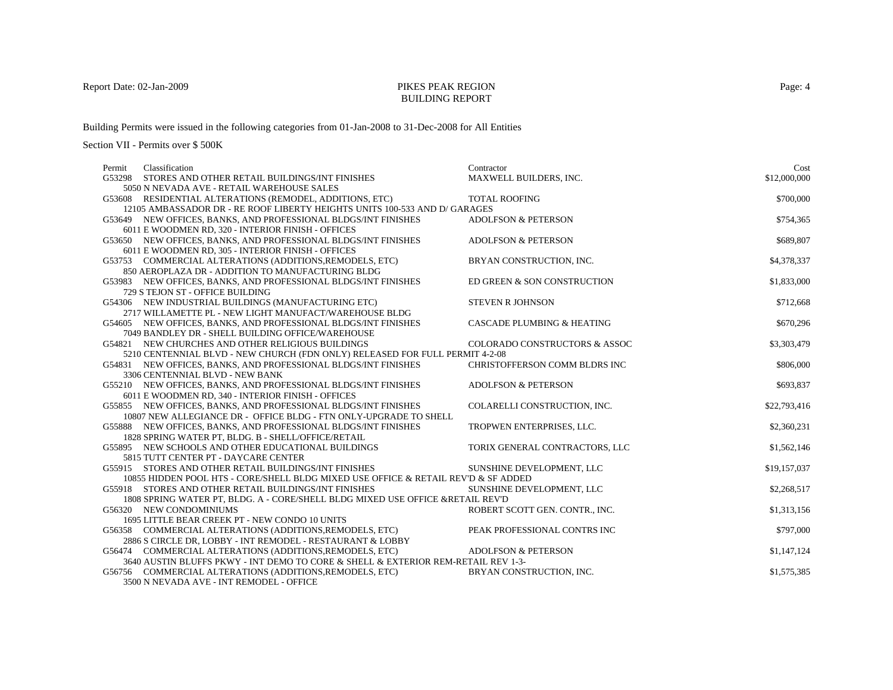## BUILDING REPORT

Building Permits were issued in the following categories from 01-Jan-2008 to 31-Dec-2008 for All Entities

| Classification<br>Permit                                                           | Contractor                            | Cost         |
|------------------------------------------------------------------------------------|---------------------------------------|--------------|
| G53298 STORES AND OTHER RETAIL BUILDINGS/INT FINISHES                              | MAXWELL BUILDERS, INC.                | \$12,000,000 |
| 5050 N NEVADA AVE - RETAIL WAREHOUSE SALES                                         |                                       |              |
| G53608 RESIDENTIAL ALTERATIONS (REMODEL, ADDITIONS, ETC)                           | <b>TOTAL ROOFING</b>                  | \$700,000    |
| 12105 AMBASSADOR DR - RE ROOF LIBERTY HEIGHTS UNITS 100-533 AND D/ GARAGES         |                                       |              |
| G53649 NEW OFFICES, BANKS, AND PROFESSIONAL BLDGS/INT FINISHES                     | <b>ADOLFSON &amp; PETERSON</b>        | \$754,365    |
| 6011 E WOODMEN RD, 320 - INTERIOR FINISH - OFFICES                                 |                                       |              |
| G53650 NEW OFFICES, BANKS, AND PROFESSIONAL BLDGS/INT FINISHES                     | <b>ADOLFSON &amp; PETERSON</b>        | \$689,807    |
| 6011 E WOODMEN RD, 305 - INTERIOR FINISH - OFFICES                                 |                                       |              |
| G53753 COMMERCIAL ALTERATIONS (ADDITIONS, REMODELS, ETC)                           | BRYAN CONSTRUCTION, INC.              | \$4,378,337  |
| 850 AEROPLAZA DR - ADDITION TO MANUFACTURING BLDG                                  |                                       |              |
| G53983 NEW OFFICES, BANKS, AND PROFESSIONAL BLDGS/INT FINISHES                     | ED GREEN & SON CONSTRUCTION           | \$1,833,000  |
| 729 S TEJON ST - OFFICE BUILDING                                                   |                                       |              |
| G54306 NEW INDUSTRIAL BUILDINGS (MANUFACTURING ETC)                                | <b>STEVEN R JOHNSON</b>               | \$712,668    |
| 2717 WILLAMETTE PL - NEW LIGHT MANUFACT/WAREHOUSE BLDG                             |                                       |              |
| G54605 NEW OFFICES, BANKS, AND PROFESSIONAL BLDGS/INT FINISHES                     | <b>CASCADE PLUMBING &amp; HEATING</b> | \$670,296    |
| 7049 BANDLEY DR - SHELL BUILDING OFFICE/WAREHOUSE                                  |                                       |              |
| G54821 NEW CHURCHES AND OTHER RELIGIOUS BUILDINGS                                  | COLORADO CONSTRUCTORS & ASSOC         | \$3,303,479  |
| 5210 CENTENNIAL BLVD - NEW CHURCH (FDN ONLY) RELEASED FOR FULL PERMIT 4-2-08       |                                       |              |
| G54831 NEW OFFICES, BANKS, AND PROFESSIONAL BLDGS/INT FINISHES                     | CHRISTOFFERSON COMM BLDRS INC         | \$806,000    |
| 3306 CENTENNIAL BLVD - NEW BANK                                                    |                                       |              |
| G55210 NEW OFFICES, BANKS, AND PROFESSIONAL BLDGS/INT FINISHES                     | <b>ADOLFSON &amp; PETERSON</b>        | \$693,837    |
| 6011 E WOODMEN RD, 340 - INTERIOR FINISH - OFFICES                                 |                                       |              |
| G55855 NEW OFFICES, BANKS, AND PROFESSIONAL BLDGS/INT FINISHES                     | COLARELLI CONSTRUCTION, INC.          | \$22,793,416 |
| 10807 NEW ALLEGIANCE DR - OFFICE BLDG - FTN ONLY-UPGRADE TO SHELL                  |                                       |              |
| G55888 NEW OFFICES, BANKS, AND PROFESSIONAL BLDGS/INT FINISHES                     | TROPWEN ENTERPRISES, LLC.             | \$2,360,231  |
| 1828 SPRING WATER PT, BLDG. B - SHELL/OFFICE/RETAIL                                |                                       |              |
| G55895 NEW SCHOOLS AND OTHER EDUCATIONAL BUILDINGS                                 | TORIX GENERAL CONTRACTORS, LLC        | \$1,562,146  |
| 5815 TUTT CENTER PT - DAYCARE CENTER                                               |                                       |              |
| G55915 STORES AND OTHER RETAIL BUILDINGS/INT FINISHES                              | SUNSHINE DEVELOPMENT, LLC             | \$19,157,037 |
| 10855 HIDDEN POOL HTS - CORE/SHELL BLDG MIXED USE OFFICE & RETAIL REV'D & SF ADDED |                                       |              |
| G55918 STORES AND OTHER RETAIL BUILDINGS/INT FINISHES                              | SUNSHINE DEVELOPMENT, LLC             | \$2,268,517  |
| 1808 SPRING WATER PT, BLDG. A - CORE/SHELL BLDG MIXED USE OFFICE &RETAIL REV'D     |                                       |              |
| G56320 NEW CONDOMINIUMS                                                            | ROBERT SCOTT GEN. CONTR., INC.        | \$1,313,156  |
| 1695 LITTLE BEAR CREEK PT - NEW CONDO 10 UNITS                                     |                                       |              |
| G56358 COMMERCIAL ALTERATIONS (ADDITIONS, REMODELS, ETC)                           | PEAK PROFESSIONAL CONTRS INC          | \$797,000    |
| 2886 S CIRCLE DR, LOBBY - INT REMODEL - RESTAURANT & LOBBY                         |                                       |              |
| G56474 COMMERCIAL ALTERATIONS (ADDITIONS, REMODELS, ETC)                           | <b>ADOLFSON &amp; PETERSON</b>        | \$1,147,124  |
| 3640 AUSTIN BLUFFS PKWY - INT DEMO TO CORE & SHELL & EXTERIOR REM-RETAIL REV 1-3-  |                                       |              |
| G56756 COMMERCIAL ALTERATIONS (ADDITIONS, REMODELS, ETC)                           | BRYAN CONSTRUCTION, INC.              | \$1,575,385  |
| 3500 N NEVADA AVE - INT REMODEL - OFFICE                                           |                                       |              |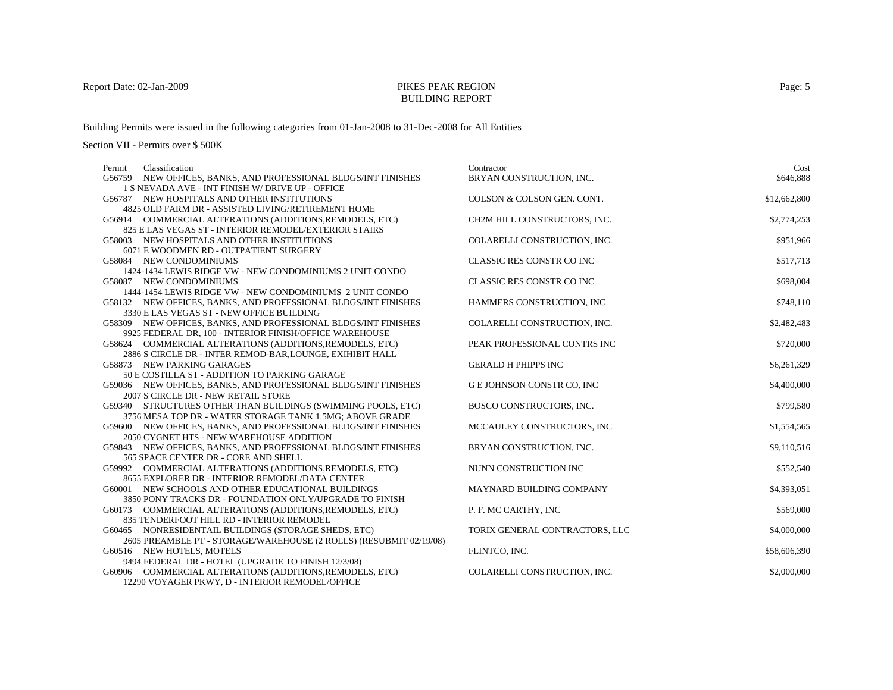## BUILDING REPORT

Building Permits were issued in the following categories from 01-Jan-2008 to 31-Dec-2008 for All Entities

Section VII - Permits over \$ 500K

| Permit | Classification                                                     | Contractor                      | Cost         |
|--------|--------------------------------------------------------------------|---------------------------------|--------------|
| G56759 | NEW OFFICES, BANKS, AND PROFESSIONAL BLDGS/INT FINISHES            | BRYAN CONSTRUCTION, INC.        | \$646,888    |
|        | 1 S NEVADA AVE - INT FINISH W/ DRIVE UP - OFFICE                   |                                 |              |
|        | G56787 NEW HOSPITALS AND OTHER INSTITUTIONS                        | COLSON & COLSON GEN. CONT.      | \$12,662,800 |
|        | 4825 OLD FARM DR - ASSISTED LIVING/RETIREMENT HOME                 |                                 |              |
|        | G56914 COMMERCIAL ALTERATIONS (ADDITIONS, REMODELS, ETC)           | CH2M HILL CONSTRUCTORS, INC.    | \$2,774,253  |
|        | 825 E LAS VEGAS ST - INTERIOR REMODEL/EXTERIOR STAIRS              |                                 |              |
|        | G58003 NEW HOSPITALS AND OTHER INSTITUTIONS                        | COLARELLI CONSTRUCTION, INC.    | \$951,966    |
|        | 6071 E WOODMEN RD - OUTPATIENT SURGERY                             |                                 |              |
|        | G58084 NEW CONDOMINIUMS                                            | CLASSIC RES CONSTR CO INC       | \$517,713    |
|        | 1424-1434 LEWIS RIDGE VW - NEW CONDOMINIUMS 2 UNIT CONDO           |                                 |              |
|        | G58087 NEW CONDOMINIUMS                                            | CLASSIC RES CONSTR CO INC       | \$698,004    |
|        | 1444-1454 LEWIS RIDGE VW - NEW CONDOMINIUMS 2 UNIT CONDO           |                                 |              |
|        | G58132 NEW OFFICES, BANKS, AND PROFESSIONAL BLDGS/INT FINISHES     | HAMMERS CONSTRUCTION, INC       | \$748,110    |
|        | 3330 E LAS VEGAS ST - NEW OFFICE BUILDING                          |                                 |              |
|        | G58309 NEW OFFICES, BANKS, AND PROFESSIONAL BLDGS/INT FINISHES     | COLARELLI CONSTRUCTION, INC.    | \$2,482,483  |
|        | 9925 FEDERAL DR, 100 - INTERIOR FINISH/OFFICE WAREHOUSE            |                                 |              |
|        | G58624 COMMERCIAL ALTERATIONS (ADDITIONS, REMODELS, ETC)           | PEAK PROFESSIONAL CONTRS INC    | \$720,000    |
|        | 2886 S CIRCLE DR - INTER REMOD-BAR, LOUNGE, EXIHIBIT HALL          |                                 |              |
|        | G58873 NEW PARKING GARAGES                                         | <b>GERALD H PHIPPS INC</b>      | \$6,261,329  |
|        | 50 E COSTILLA ST - ADDITION TO PARKING GARAGE                      |                                 |              |
|        | G59036 NEW OFFICES, BANKS, AND PROFESSIONAL BLDGS/INT FINISHES     | G E JOHNSON CONSTR CO, INC      | \$4,400,000  |
|        | 2007 S CIRCLE DR - NEW RETAIL STORE                                |                                 |              |
|        | G59340 STRUCTURES OTHER THAN BUILDINGS (SWIMMING POOLS, ETC)       | <b>BOSCO CONSTRUCTORS, INC.</b> | \$799,580    |
|        | 3756 MESA TOP DR - WATER STORAGE TANK 1.5MG; ABOVE GRADE           |                                 |              |
|        | G59600 NEW OFFICES, BANKS, AND PROFESSIONAL BLDGS/INT FINISHES     | MCCAULEY CONSTRUCTORS, INC      | \$1,554,565  |
|        | 2050 CYGNET HTS - NEW WAREHOUSE ADDITION                           |                                 |              |
|        | G59843 NEW OFFICES, BANKS, AND PROFESSIONAL BLDGS/INT FINISHES     | BRYAN CONSTRUCTION, INC.        | \$9,110,516  |
|        | 565 SPACE CENTER DR - CORE AND SHELL                               |                                 |              |
|        | G59992 COMMERCIAL ALTERATIONS (ADDITIONS, REMODELS, ETC)           | NUNN CONSTRUCTION INC           | \$552,540    |
|        | 8655 EXPLORER DR - INTERIOR REMODEL/DATA CENTER                    |                                 |              |
|        | G60001 NEW SCHOOLS AND OTHER EDUCATIONAL BUILDINGS                 | MAYNARD BUILDING COMPANY        | \$4,393,051  |
|        | 3850 PONY TRACKS DR - FOUNDATION ONLY/UPGRADE TO FINISH            |                                 |              |
|        | G60173 COMMERCIAL ALTERATIONS (ADDITIONS, REMODELS, ETC)           | P. F. MC CARTHY, INC            | \$569,000    |
|        | 835 TENDERFOOT HILL RD - INTERIOR REMODEL                          |                                 |              |
|        | G60465 NONRESIDENTAIL BUILDINGS (STORAGE SHEDS, ETC)               | TORIX GENERAL CONTRACTORS, LLC  | \$4,000,000  |
|        | 2605 PREAMBLE PT - STORAGE/WAREHOUSE (2 ROLLS) (RESUBMIT 02/19/08) |                                 |              |
|        | G60516 NEW HOTELS, MOTELS                                          | FLINTCO, INC.                   | \$58,606,390 |
|        | 9494 FEDERAL DR - HOTEL (UPGRADE TO FINISH 12/3/08)                |                                 |              |
|        | G60906 COMMERCIAL ALTERATIONS (ADDITIONS, REMODELS, ETC)           | COLARELLI CONSTRUCTION, INC.    | \$2,000,000  |

12290 VOYAGER PKWY, D - INTERIOR REMODEL/OFFICE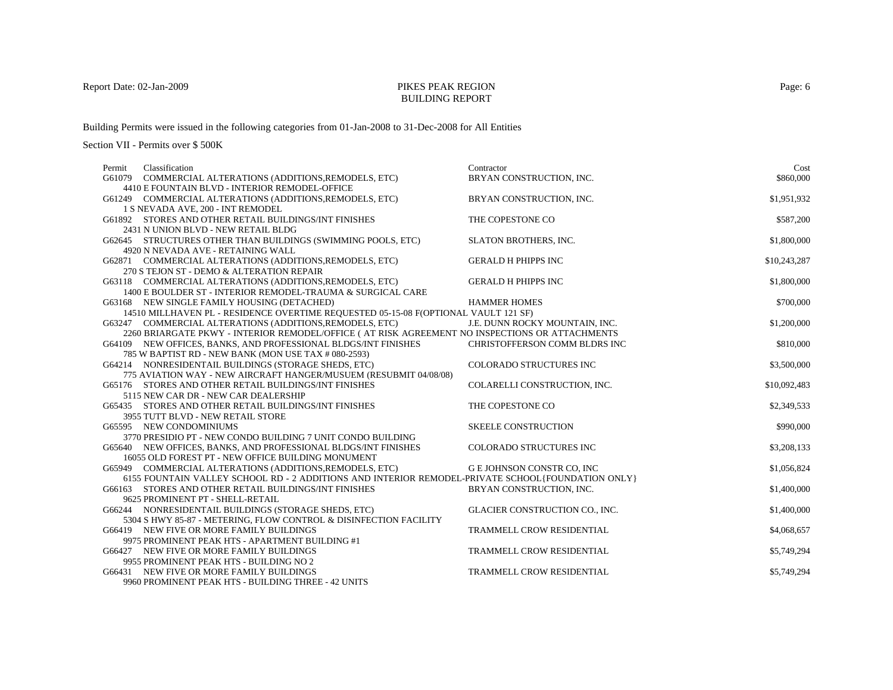## BUILDING REPORT

Building Permits were issued in the following categories from 01-Jan-2008 to 31-Dec-2008 for All Entities

| Classification<br>Permit                                                                           | Contractor                        | Cost         |
|----------------------------------------------------------------------------------------------------|-----------------------------------|--------------|
| G61079 COMMERCIAL ALTERATIONS (ADDITIONS, REMODELS, ETC)                                           | BRYAN CONSTRUCTION, INC.          | \$860,000    |
| 4410 E FOUNTAIN BLVD - INTERIOR REMODEL-OFFICE                                                     |                                   |              |
| G61249 COMMERCIAL ALTERATIONS (ADDITIONS, REMODELS, ETC)                                           | BRYAN CONSTRUCTION, INC.          | \$1,951,932  |
| 1 S NEVADA AVE, 200 - INT REMODEL                                                                  |                                   |              |
| G61892 STORES AND OTHER RETAIL BUILDINGS/INT FINISHES                                              | THE COPESTONE CO                  | \$587,200    |
| 2431 N UNION BLVD - NEW RETAIL BLDG                                                                |                                   |              |
| G62645 STRUCTURES OTHER THAN BUILDINGS (SWIMMING POOLS, ETC)                                       | <b>SLATON BROTHERS, INC.</b>      | \$1,800,000  |
| 4920 N NEVADA AVE - RETAINING WALL                                                                 |                                   |              |
| G62871 COMMERCIAL ALTERATIONS (ADDITIONS, REMODELS, ETC)                                           | <b>GERALD H PHIPPS INC</b>        | \$10,243,287 |
| 270 S TEJON ST - DEMO & ALTERATION REPAIR                                                          |                                   |              |
| G63118 COMMERCIAL ALTERATIONS (ADDITIONS, REMODELS, ETC)                                           | <b>GERALD H PHIPPS INC</b>        | \$1,800,000  |
| 1400 E BOULDER ST - INTERIOR REMODEL-TRAUMA & SURGICAL CARE                                        |                                   |              |
| G63168 NEW SINGLE FAMILY HOUSING (DETACHED)                                                        | <b>HAMMER HOMES</b>               | \$700,000    |
| 14510 MILLHAVEN PL - RESIDENCE OVERTIME REQUESTED 05-15-08 F(OPTIONAL VAULT 121 SF)                |                                   |              |
| G63247 COMMERCIAL ALTERATIONS (ADDITIONS, REMODELS, ETC)                                           | J.E. DUNN ROCKY MOUNTAIN, INC.    | \$1,200,000  |
| 2260 BRIARGATE PKWY - INTERIOR REMODEL/OFFICE (AT RISK AGREEMENT NO INSPECTIONS OR ATTACHMENTS     |                                   |              |
| G64109 NEW OFFICES, BANKS, AND PROFESSIONAL BLDGS/INT FINISHES                                     | CHRISTOFFERSON COMM BLDRS INC     | \$810,000    |
| 785 W BAPTIST RD - NEW BANK (MON USE TAX # 080-2593)                                               |                                   |              |
| G64214 NONRESIDENTAIL BUILDINGS (STORAGE SHEDS, ETC)                                               | COLORADO STRUCTURES INC           | \$3,500,000  |
| 775 AVIATION WAY - NEW AIRCRAFT HANGER/MUSUEM (RESUBMIT 04/08/08)                                  |                                   |              |
| G65176 STORES AND OTHER RETAIL BUILDINGS/INT FINISHES                                              | COLARELLI CONSTRUCTION, INC.      | \$10,092,483 |
| 5115 NEW CAR DR - NEW CAR DEALERSHIP                                                               |                                   |              |
| G65435 STORES AND OTHER RETAIL BUILDINGS/INT FINISHES                                              | THE COPESTONE CO                  | \$2,349,533  |
| 3955 TUTT BLVD - NEW RETAIL STORE                                                                  |                                   |              |
| G65595 NEW CONDOMINIUMS                                                                            | <b>SKEELE CONSTRUCTION</b>        | \$990,000    |
| 3770 PRESIDIO PT - NEW CONDO BUILDING 7 UNIT CONDO BUILDING                                        |                                   |              |
| G65640 NEW OFFICES, BANKS, AND PROFESSIONAL BLDGS/INT FINISHES                                     | <b>COLORADO STRUCTURES INC</b>    | \$3,208,133  |
| 16055 OLD FOREST PT - NEW OFFICE BUILDING MONUMENT                                                 |                                   |              |
| G65949 COMMERCIAL ALTERATIONS (ADDITIONS, REMODELS, ETC)                                           | <b>G E JOHNSON CONSTR CO, INC</b> | \$1,056,824  |
| 6155 FOUNTAIN VALLEY SCHOOL RD - 2 ADDITIONS AND INTERIOR REMODEL-PRIVATE SCHOOL (FOUNDATION ONLY) |                                   |              |
| G66163 STORES AND OTHER RETAIL BUILDINGS/INT FINISHES                                              | BRYAN CONSTRUCTION, INC.          | \$1,400,000  |
| 9625 PROMINENT PT - SHELL-RETAIL                                                                   |                                   |              |
| G66244 NONRESIDENTAIL BUILDINGS (STORAGE SHEDS, ETC)                                               | GLACIER CONSTRUCTION CO., INC.    | \$1,400,000  |
| 5304 S HWY 85-87 - METERING, FLOW CONTROL & DISINFECTION FACILITY                                  |                                   |              |
| G66419 NEW FIVE OR MORE FAMILY BUILDINGS                                                           | TRAMMELL CROW RESIDENTIAL         | \$4,068,657  |
| 9975 PROMINENT PEAK HTS - APARTMENT BUILDING #1                                                    |                                   |              |
| G66427 NEW FIVE OR MORE FAMILY BUILDINGS                                                           | TRAMMELL CROW RESIDENTIAL         | \$5,749,294  |
| 9955 PROMINENT PEAK HTS - BUILDING NO 2                                                            |                                   |              |
| G66431 NEW FIVE OR MORE FAMILY BUILDINGS                                                           | TRAMMELL CROW RESIDENTIAL         | \$5,749,294  |
| 9960 PROMINENT PEAK HTS - BUILDING THREE - 42 UNITS                                                |                                   |              |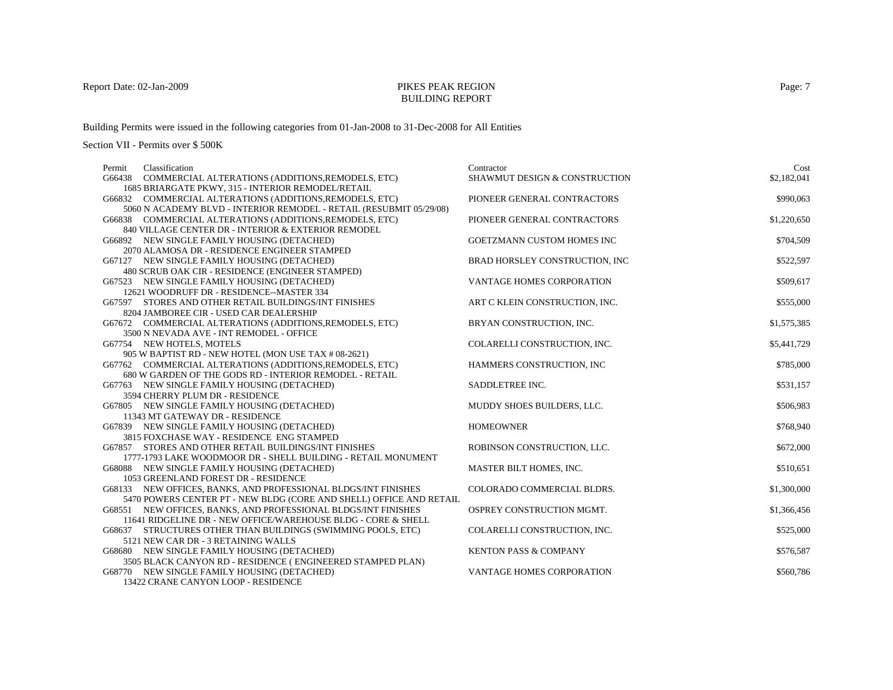## BUILDING REPORT

Building Permits were issued in the following categories from 01-Jan-2008 to 31-Dec-2008 for All Entities

Section VII - Permits over \$ 500K

| Classification<br>Permit                                            | Contractor                       | Cost        |
|---------------------------------------------------------------------|----------------------------------|-------------|
| G66438 COMMERCIAL ALTERATIONS (ADDITIONS, REMODELS, ETC)            | SHAWMUT DESIGN & CONSTRUCTION    | \$2,182,041 |
| 1685 BRIARGATE PKWY, 315 - INTERIOR REMODEL/RETAIL                  |                                  |             |
| G66832 COMMERCIAL ALTERATIONS (ADDITIONS, REMODELS, ETC)            | PIONEER GENERAL CONTRACTORS      | \$990,063   |
| 5060 N ACADEMY BLVD - INTERIOR REMODEL - RETAIL (RESUBMIT 05/29/08) |                                  |             |
| G66838 COMMERCIAL ALTERATIONS (ADDITIONS, REMODELS, ETC)            | PIONEER GENERAL CONTRACTORS      | \$1,220,650 |
| 840 VILLAGE CENTER DR - INTERIOR & EXTERIOR REMODEL                 |                                  |             |
| G66892 NEW SINGLE FAMILY HOUSING (DETACHED)                         | GOETZMANN CUSTOM HOMES INC       | \$704,509   |
| 2070 ALAMOSA DR - RESIDENCE ENGINEER STAMPED                        |                                  |             |
| G67127 NEW SINGLE FAMILY HOUSING (DETACHED)                         | BRAD HORSLEY CONSTRUCTION, INC   | \$522,597   |
| 480 SCRUB OAK CIR - RESIDENCE (ENGINEER STAMPED)                    |                                  |             |
| G67523 NEW SINGLE FAMILY HOUSING (DETACHED)                         | VANTAGE HOMES CORPORATION        | \$509,617   |
| 12621 WOODRUFF DR - RESIDENCE--MASTER 334                           |                                  |             |
| G67597 STORES AND OTHER RETAIL BUILDINGS/INT FINISHES               | ART C KLEIN CONSTRUCTION, INC.   | \$555,000   |
| 8204 JAMBOREE CIR - USED CAR DEALERSHIP                             |                                  |             |
| G67672 COMMERCIAL ALTERATIONS (ADDITIONS, REMODELS, ETC)            | BRYAN CONSTRUCTION, INC.         | \$1,575,385 |
| 3500 N NEVADA AVE - INT REMODEL - OFFICE                            |                                  |             |
| G67754 NEW HOTELS, MOTELS                                           | COLARELLI CONSTRUCTION, INC.     | \$5,441,729 |
| 905 W BAPTIST RD - NEW HOTEL (MON USE TAX # 08-2621)                |                                  |             |
| G67762 COMMERCIAL ALTERATIONS (ADDITIONS, REMODELS, ETC)            | HAMMERS CONSTRUCTION, INC        | \$785,000   |
| 680 W GARDEN OF THE GODS RD - INTERIOR REMODEL - RETAIL             |                                  |             |
| G67763 NEW SINGLE FAMILY HOUSING (DETACHED)                         | SADDLETREE INC.                  | \$531,157   |
| 3594 CHERRY PLUM DR - RESIDENCE                                     |                                  |             |
| G67805 NEW SINGLE FAMILY HOUSING (DETACHED)                         | MUDDY SHOES BUILDERS, LLC.       | \$506,983   |
| 11343 MT GATEWAY DR - RESIDENCE                                     |                                  |             |
| G67839 NEW SINGLE FAMILY HOUSING (DETACHED)                         | <b>HOMEOWNER</b>                 | \$768,940   |
| 3815 FOXCHASE WAY - RESIDENCE ENG STAMPED                           |                                  |             |
| G67857 STORES AND OTHER RETAIL BUILDINGS/INT FINISHES               | ROBINSON CONSTRUCTION, LLC.      | \$672,000   |
| 1777-1793 LAKE WOODMOOR DR - SHELL BUILDING - RETAIL MONUMENT       |                                  |             |
| G68088 NEW SINGLE FAMILY HOUSING (DETACHED)                         | MASTER BILT HOMES, INC.          | \$510,651   |
| 1053 GREENLAND FOREST DR - RESIDENCE                                |                                  |             |
| G68133 NEW OFFICES, BANKS, AND PROFESSIONAL BLDGS/INT FINISHES      | COLORADO COMMERCIAL BLDRS.       | \$1,300,000 |
| 5470 POWERS CENTER PT - NEW BLDG (CORE AND SHELL) OFFICE AND RETAIL |                                  |             |
| G68551 NEW OFFICES, BANKS, AND PROFESSIONAL BLDGS/INT FINISHES      | OSPREY CONSTRUCTION MGMT.        | \$1,366,456 |
| 11641 RIDGELINE DR - NEW OFFICE/WAREHOUSE BLDG - CORE & SHELL       |                                  |             |
| G68637 STRUCTURES OTHER THAN BUILDINGS (SWIMMING POOLS, ETC)        | COLARELLI CONSTRUCTION, INC.     | \$525,000   |
| 5121 NEW CAR DR - 3 RETAINING WALLS                                 |                                  |             |
| G68680 NEW SINGLE FAMILY HOUSING (DETACHED)                         | <b>KENTON PASS &amp; COMPANY</b> | \$576,587   |
| 3505 BLACK CANYON RD - RESIDENCE (ENGINEERED STAMPED PLAN)          |                                  |             |
| G68770 NEW SINGLE FAMILY HOUSING (DETACHED)                         | VANTAGE HOMES CORPORATION        | \$560,786   |

13422 CRANE CANYON LOOP - RESIDENCE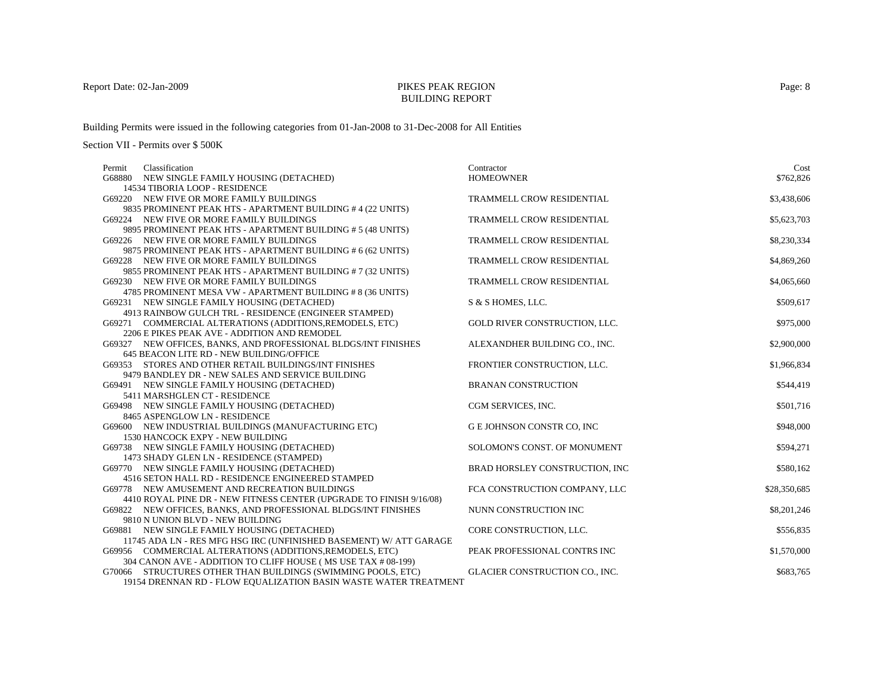#### BUILDING REPORT

Building Permits were issued in the following categories from 01-Jan-2008 to 31-Dec-2008 for All Entities

| Classification<br>Permit                                                             | Contractor                       | Cost         |
|--------------------------------------------------------------------------------------|----------------------------------|--------------|
| G68880 NEW SINGLE FAMILY HOUSING (DETACHED)                                          | <b>HOMEOWNER</b>                 | \$762,826    |
| 14534 TIBORIA LOOP - RESIDENCE                                                       |                                  |              |
| G69220 NEW FIVE OR MORE FAMILY BUILDINGS                                             | TRAMMELL CROW RESIDENTIAL        | \$3,438,606  |
| 9835 PROMINENT PEAK HTS - APARTMENT BUILDING #4 (22 UNITS)                           |                                  |              |
| G69224 NEW FIVE OR MORE FAMILY BUILDINGS                                             | TRAMMELL CROW RESIDENTIAL        | \$5,623,703  |
| 9895 PROMINENT PEAK HTS - APARTMENT BUILDING # 5 (48 UNITS)                          |                                  |              |
| G69226 NEW FIVE OR MORE FAMILY BUILDINGS                                             | TRAMMELL CROW RESIDENTIAL        | \$8,230,334  |
| 9875 PROMINENT PEAK HTS - APARTMENT BUILDING # 6 (62 UNITS)                          |                                  |              |
| G69228 NEW FIVE OR MORE FAMILY BUILDINGS                                             | TRAMMELL CROW RESIDENTIAL        | \$4,869,260  |
| 9855 PROMINENT PEAK HTS - APARTMENT BUILDING # 7 (32 UNITS)                          |                                  |              |
| G69230 NEW FIVE OR MORE FAMILY BUILDINGS                                             | TRAMMELL CROW RESIDENTIAL        | \$4,065,660  |
| 4785 PROMINENT MESA VW - APARTMENT BUILDING # 8 (36 UNITS)                           |                                  |              |
| G69231 NEW SINGLE FAMILY HOUSING (DETACHED)                                          | S & S HOMES, LLC.                | \$509,617    |
| 4913 RAINBOW GULCH TRL - RESIDENCE (ENGINEER STAMPED)                                |                                  |              |
| G69271 COMMERCIAL ALTERATIONS (ADDITIONS, REMODELS, ETC)                             | GOLD RIVER CONSTRUCTION, LLC.    | \$975,000    |
| 2206 E PIKES PEAK AVE - ADDITION AND REMODEL                                         |                                  |              |
| G69327 NEW OFFICES, BANKS, AND PROFESSIONAL BLDGS/INT FINISHES                       | ALEXANDHER BUILDING CO., INC.    | \$2,900,000  |
| 645 BEACON LITE RD - NEW BUILDING/OFFICE                                             |                                  |              |
| G69353 STORES AND OTHER RETAIL BUILDINGS/INT FINISHES                                | FRONTIER CONSTRUCTION, LLC.      | \$1,966,834  |
| 9479 BANDLEY DR - NEW SALES AND SERVICE BUILDING                                     |                                  |              |
| G69491 NEW SINGLE FAMILY HOUSING (DETACHED)                                          | <b>BRANAN CONSTRUCTION</b>       | \$544,419    |
| 5411 MARSHGLEN CT - RESIDENCE                                                        |                                  |              |
| G69498 NEW SINGLE FAMILY HOUSING (DETACHED)                                          | CGM SERVICES, INC.               | \$501,716    |
| 8465 ASPENGLOW LN - RESIDENCE<br>G69600 NEW INDUSTRIAL BUILDINGS (MANUFACTURING ETC) | <b>GE JOHNSON CONSTR CO, INC</b> | \$948,000    |
| 1530 HANCOCK EXPY - NEW BUILDING                                                     |                                  |              |
| G69738 NEW SINGLE FAMILY HOUSING (DETACHED)                                          | SOLOMON'S CONST. OF MONUMENT     | \$594,271    |
| 1473 SHADY GLEN LN - RESIDENCE (STAMPED)                                             |                                  |              |
| G69770 NEW SINGLE FAMILY HOUSING (DETACHED)                                          | BRAD HORSLEY CONSTRUCTION, INC   | \$580,162    |
| 4516 SETON HALL RD - RESIDENCE ENGINEERED STAMPED                                    |                                  |              |
| G69778 NEW AMUSEMENT AND RECREATION BUILDINGS                                        | FCA CONSTRUCTION COMPANY, LLC    | \$28,350,685 |
| 4410 ROYAL PINE DR - NEW FITNESS CENTER (UPGRADE TO FINISH 9/16/08)                  |                                  |              |
| G69822 NEW OFFICES, BANKS, AND PROFESSIONAL BLDGS/INT FINISHES                       | NUNN CONSTRUCTION INC            | \$8,201,246  |
| 9810 N UNION BLVD - NEW BUILDING                                                     |                                  |              |
| G69881 NEW SINGLE FAMILY HOUSING (DETACHED)                                          | CORE CONSTRUCTION, LLC.          | \$556,835    |
| 11745 ADA LN - RES MFG HSG IRC (UNFINISHED BASEMENT) W/ ATT GARAGE                   |                                  |              |
| G69956 COMMERCIAL ALTERATIONS (ADDITIONS, REMODELS, ETC)                             | PEAK PROFESSIONAL CONTRS INC     | \$1,570,000  |
| 304 CANON AVE - ADDITION TO CLIFF HOUSE (MS USE TAX # 08-199)                        |                                  |              |
| G70066 STRUCTURES OTHER THAN BUILDINGS (SWIMMING POOLS, ETC)                         | GLACIER CONSTRUCTION CO., INC.   | \$683,765    |
| 19154 DRENNAN RD - FLOW EQUALIZATION BASIN WASTE WATER TREATMENT                     |                                  |              |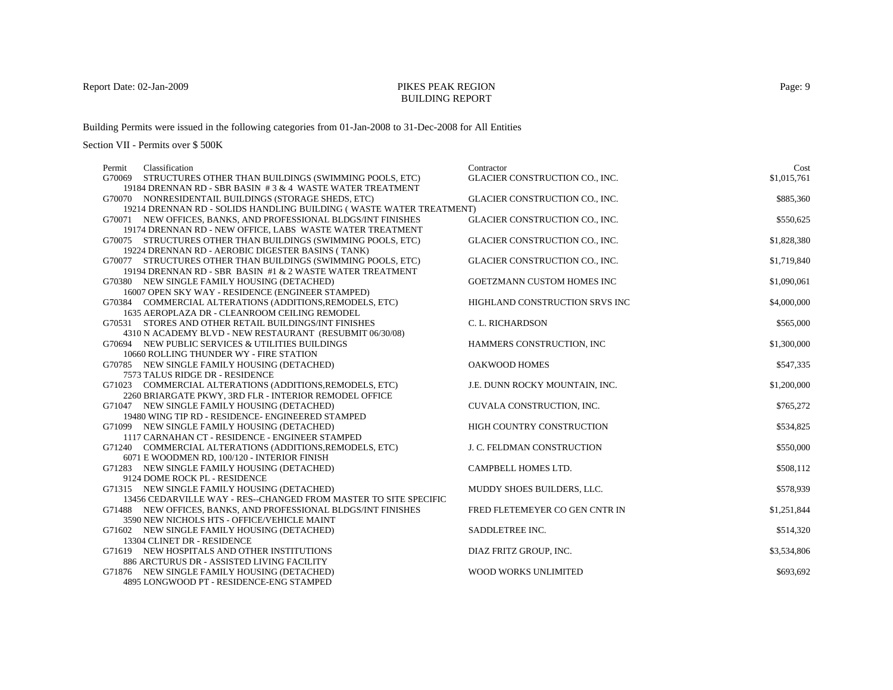## BUILDING REPORT

Building Permits were issued in the following categories from 01-Jan-2008 to 31-Dec-2008 for All Entities

| Classification<br>Permit                                            | Contractor                     | Cost        |
|---------------------------------------------------------------------|--------------------------------|-------------|
| G70069 STRUCTURES OTHER THAN BUILDINGS (SWIMMING POOLS, ETC)        | GLACIER CONSTRUCTION CO., INC. | \$1,015,761 |
| 19184 DRENNAN RD - SBR BASIN #3 & 4 WASTE WATER TREATMENT           |                                |             |
| G70070 NONRESIDENTAIL BUILDINGS (STORAGE SHEDS, ETC)                | GLACIER CONSTRUCTION CO., INC. | \$885,360   |
| 19214 DRENNAN RD - SOLIDS HANDLING BUILDING (WASTE WATER TREATMENT) |                                |             |
| G70071 NEW OFFICES, BANKS, AND PROFESSIONAL BLDGS/INT FINISHES      | GLACIER CONSTRUCTION CO., INC. | \$550,625   |
| 19174 DRENNAN RD - NEW OFFICE, LABS WASTE WATER TREATMENT           |                                |             |
| G70075 STRUCTURES OTHER THAN BUILDINGS (SWIMMING POOLS, ETC)        | GLACIER CONSTRUCTION CO., INC. | \$1,828,380 |
| 19224 DRENNAN RD - AEROBIC DIGESTER BASINS (TANK)                   |                                |             |
| G70077 STRUCTURES OTHER THAN BUILDINGS (SWIMMING POOLS, ETC)        | GLACIER CONSTRUCTION CO., INC. | \$1,719,840 |
| 19194 DRENNAN RD - SBR BASIN #1 & 2 WASTE WATER TREATMENT           |                                |             |
| G70380 NEW SINGLE FAMILY HOUSING (DETACHED)                         | GOETZMANN CUSTOM HOMES INC     | \$1,090,061 |
| 16007 OPEN SKY WAY - RESIDENCE (ENGINEER STAMPED)                   |                                |             |
| G70384 COMMERCIAL ALTERATIONS (ADDITIONS, REMODELS, ETC)            | HIGHLAND CONSTRUCTION SRVS INC | \$4,000,000 |
| 1635 AEROPLAZA DR - CLEANROOM CEILING REMODEL                       |                                |             |
| G70531 STORES AND OTHER RETAIL BUILDINGS/INT FINISHES               | C. L. RICHARDSON               | \$565,000   |
| 4310 N ACADEMY BLVD - NEW RESTAURANT (RESUBMIT 06/30/08)            |                                |             |
| G70694 NEW PUBLIC SERVICES & UTILITIES BUILDINGS                    | HAMMERS CONSTRUCTION, INC      | \$1,300,000 |
| 10660 ROLLING THUNDER WY - FIRE STATION                             |                                |             |
| G70785 NEW SINGLE FAMILY HOUSING (DETACHED)                         | OAKWOOD HOMES                  | \$547,335   |
| 7573 TALUS RIDGE DR - RESIDENCE                                     |                                |             |
| G71023 COMMERCIAL ALTERATIONS (ADDITIONS, REMODELS, ETC)            | J.E. DUNN ROCKY MOUNTAIN, INC. | \$1,200,000 |
| 2260 BRIARGATE PKWY, 3RD FLR - INTERIOR REMODEL OFFICE              |                                |             |
| G71047 NEW SINGLE FAMILY HOUSING (DETACHED)                         | CUVALA CONSTRUCTION, INC.      | \$765,272   |
| 19480 WING TIP RD - RESIDENCE- ENGINEERED STAMPED                   |                                |             |
| G71099 NEW SINGLE FAMILY HOUSING (DETACHED)                         | HIGH COUNTRY CONSTRUCTION      | \$534,825   |
| 1117 CARNAHAN CT - RESIDENCE - ENGINEER STAMPED                     |                                |             |
| G71240 COMMERCIAL ALTERATIONS (ADDITIONS, REMODELS, ETC)            | J. C. FELDMAN CONSTRUCTION     | \$550,000   |
| 6071 E WOODMEN RD, 100/120 - INTERIOR FINISH                        |                                |             |
| G71283 NEW SINGLE FAMILY HOUSING (DETACHED)                         | CAMPBELL HOMES LTD.            | \$508,112   |
| 9124 DOME ROCK PL - RESIDENCE                                       |                                |             |
| G71315 NEW SINGLE FAMILY HOUSING (DETACHED)                         | MUDDY SHOES BUILDERS, LLC.     | \$578,939   |
| 13456 CEDARVILLE WAY - RES--CHANGED FROM MASTER TO SITE SPECIFIC    |                                |             |
| G71488 NEW OFFICES, BANKS, AND PROFESSIONAL BLDGS/INT FINISHES      | FRED FLETEMEYER CO GEN CNTR IN | \$1,251,844 |
| 3590 NEW NICHOLS HTS - OFFICE/VEHICLE MAINT                         |                                |             |
| G71602 NEW SINGLE FAMILY HOUSING (DETACHED)                         | SADDLETREE INC.                | \$514,320   |
| 13304 CLINET DR - RESIDENCE                                         |                                |             |
| G71619 NEW HOSPITALS AND OTHER INSTITUTIONS                         | DIAZ FRITZ GROUP, INC.         | \$3,534,806 |
| 886 ARCTURUS DR - ASSISTED LIVING FACILITY                          |                                |             |
| G71876 NEW SINGLE FAMILY HOUSING (DETACHED)                         | WOOD WORKS UNLIMITED           | \$693,692   |
| 4895 LONGWOOD PT - RESIDENCE-ENG STAMPED                            |                                |             |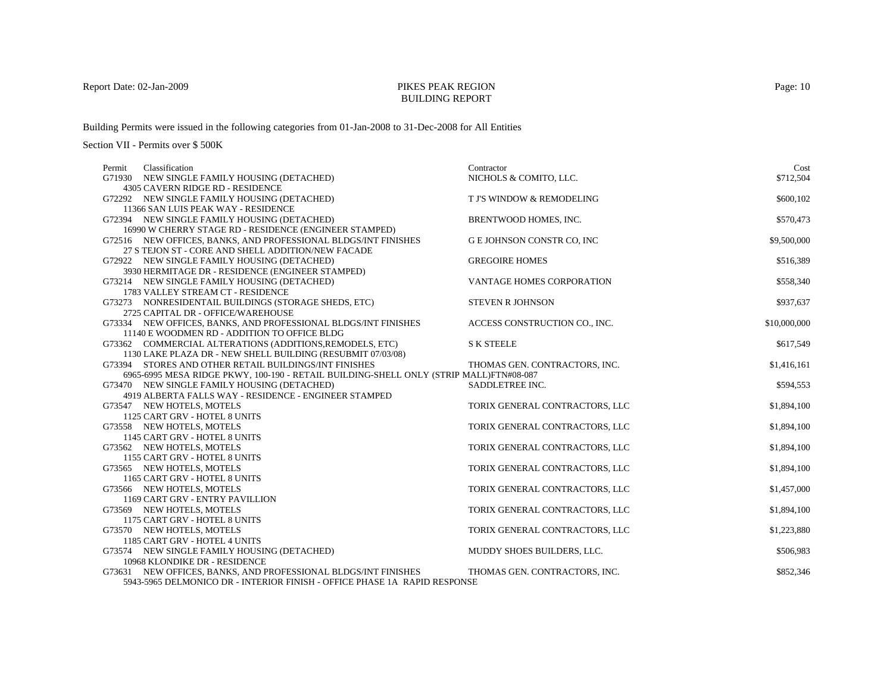#### BUILDING REPORT

Building Permits were issued in the following categories from 01-Jan-2008 to 31-Dec-2008 for All Entities

Section VII - Permits over \$ 500K

| Classification<br>Permit                                                               | Contractor                     | Cost         |
|----------------------------------------------------------------------------------------|--------------------------------|--------------|
| G71930 NEW SINGLE FAMILY HOUSING (DETACHED)                                            | NICHOLS & COMITO, LLC.         | \$712,504    |
| 4305 CAVERN RIDGE RD - RESIDENCE                                                       |                                |              |
| G72292 NEW SINGLE FAMILY HOUSING (DETACHED)                                            | T J'S WINDOW & REMODELING      | \$600,102    |
| 11366 SAN LUIS PEAK WAY - RESIDENCE                                                    |                                |              |
| G72394 NEW SINGLE FAMILY HOUSING (DETACHED)                                            | BRENTWOOD HOMES, INC.          | \$570,473    |
| 16990 W CHERRY STAGE RD - RESIDENCE (ENGINEER STAMPED)                                 |                                |              |
| G72516 NEW OFFICES, BANKS, AND PROFESSIONAL BLDGS/INT FINISHES                         | G E JOHNSON CONSTR CO, INC     | \$9,500,000  |
| 27 S TEJON ST - CORE AND SHELL ADDITION/NEW FACADE                                     |                                |              |
| G72922 NEW SINGLE FAMILY HOUSING (DETACHED)                                            | <b>GREGOIRE HOMES</b>          | \$516,389    |
| 3930 HERMITAGE DR - RESIDENCE (ENGINEER STAMPED)                                       |                                |              |
| G73214 NEW SINGLE FAMILY HOUSING (DETACHED)                                            | VANTAGE HOMES CORPORATION      | \$558,340    |
| 1783 VALLEY STREAM CT - RESIDENCE                                                      |                                |              |
| G73273 NONRESIDENTAIL BUILDINGS (STORAGE SHEDS, ETC)                                   | <b>STEVEN R JOHNSON</b>        | \$937,637    |
| 2725 CAPITAL DR - OFFICE/WAREHOUSE                                                     |                                |              |
| G73334 NEW OFFICES, BANKS, AND PROFESSIONAL BLDGS/INT FINISHES                         | ACCESS CONSTRUCTION CO., INC.  | \$10,000,000 |
| 11140 E WOODMEN RD - ADDITION TO OFFICE BLDG                                           |                                |              |
| G73362 COMMERCIAL ALTERATIONS (ADDITIONS, REMODELS, ETC)                               | <b>S K STEELE</b>              | \$617,549    |
| 1130 LAKE PLAZA DR - NEW SHELL BUILDING (RESUBMIT 07/03/08)                            |                                |              |
| G73394 STORES AND OTHER RETAIL BUILDINGS/INT FINISHES                                  | THOMAS GEN. CONTRACTORS, INC.  | \$1,416,161  |
| 6965-6995 MESA RIDGE PKWY, 100-190 - RETAIL BUILDING-SHELL ONLY (STRIP MALL)FTN#08-087 |                                |              |
| G73470 NEW SINGLE FAMILY HOUSING (DETACHED)                                            | SADDLETREE INC.                | \$594,553    |
| 4919 ALBERTA FALLS WAY - RESIDENCE - ENGINEER STAMPED                                  |                                |              |
| G73547 NEW HOTELS, MOTELS                                                              | TORIX GENERAL CONTRACTORS, LLC | \$1,894,100  |
| 1125 CART GRV - HOTEL 8 UNITS                                                          |                                |              |
| G73558 NEW HOTELS, MOTELS                                                              | TORIX GENERAL CONTRACTORS, LLC | \$1,894,100  |
| 1145 CART GRV - HOTEL 8 UNITS                                                          |                                |              |
| G73562 NEW HOTELS, MOTELS                                                              | TORIX GENERAL CONTRACTORS, LLC | \$1,894,100  |
| 1155 CART GRV - HOTEL 8 UNITS                                                          |                                |              |
| G73565 NEW HOTELS, MOTELS                                                              | TORIX GENERAL CONTRACTORS, LLC | \$1,894,100  |
| 1165 CART GRV - HOTEL 8 UNITS                                                          |                                |              |
| G73566 NEW HOTELS, MOTELS                                                              | TORIX GENERAL CONTRACTORS, LLC | \$1,457,000  |
| 1169 CART GRV - ENTRY PAVILLION                                                        |                                |              |
| G73569 NEW HOTELS, MOTELS                                                              | TORIX GENERAL CONTRACTORS, LLC | \$1,894,100  |
| 1175 CART GRV - HOTEL 8 UNITS                                                          |                                |              |
| G73570 NEW HOTELS, MOTELS                                                              | TORIX GENERAL CONTRACTORS, LLC | \$1,223,880  |
| 1185 CART GRV - HOTEL 4 UNITS                                                          |                                |              |
| G73574 NEW SINGLE FAMILY HOUSING (DETACHED)                                            | MUDDY SHOES BUILDERS, LLC.     | \$506,983    |
| 10968 KLONDIKE DR - RESIDENCE                                                          |                                |              |
| G73631 NEW OFFICES, BANKS, AND PROFESSIONAL BLDGS/INT FINISHES                         | THOMAS GEN. CONTRACTORS, INC.  | \$852,346    |
| 5943-5965 DELMONICO DR - INTERIOR FINISH - OFFICE PHASE 1A RAPID RESPONSE              |                                |              |

Page: 10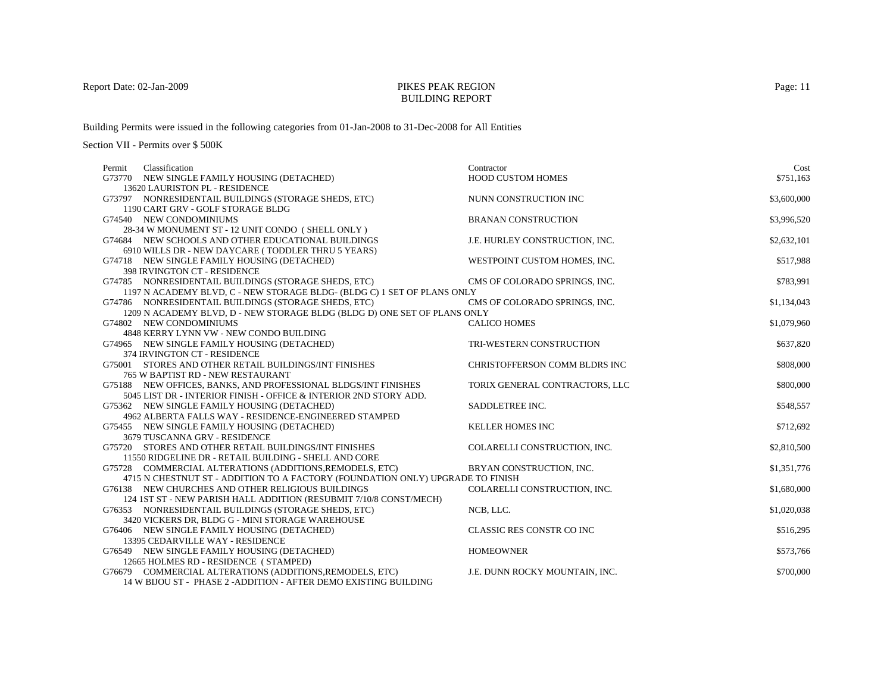## BUILDING REPORT

Building Permits were issued in the following categories from 01-Jan-2008 to 31-Dec-2008 for All Entities

| Classification<br>Permit                                                       | Contractor                     | Cost        |
|--------------------------------------------------------------------------------|--------------------------------|-------------|
| G73770 NEW SINGLE FAMILY HOUSING (DETACHED)                                    | <b>HOOD CUSTOM HOMES</b>       | \$751,163   |
| 13620 LAURISTON PL - RESIDENCE                                                 |                                |             |
| G73797 NONRESIDENTAIL BUILDINGS (STORAGE SHEDS, ETC)                           | NUNN CONSTRUCTION INC          | \$3,600,000 |
| 1190 CART GRV - GOLF STORAGE BLDG                                              |                                |             |
| G74540 NEW CONDOMINIUMS                                                        | <b>BRANAN CONSTRUCTION</b>     | \$3,996,520 |
| 28-34 W MONUMENT ST - 12 UNIT CONDO (SHELL ONLY)                               |                                |             |
| G74684 NEW SCHOOLS AND OTHER EDUCATIONAL BUILDINGS                             | J.E. HURLEY CONSTRUCTION, INC. | \$2,632,101 |
| 6910 WILLS DR - NEW DAYCARE (TODDLER THRU 5 YEARS)                             |                                |             |
| G74718 NEW SINGLE FAMILY HOUSING (DETACHED)                                    | WESTPOINT CUSTOM HOMES, INC.   | \$517,988   |
| 398 IRVINGTON CT - RESIDENCE                                                   |                                |             |
| G74785 NONRESIDENTAIL BUILDINGS (STORAGE SHEDS, ETC)                           | CMS OF COLORADO SPRINGS, INC.  | \$783.991   |
| 1197 N ACADEMY BLVD, C - NEW STORAGE BLDG- (BLDG C) 1 SET OF PLANS ONLY        |                                |             |
| G74786 NONRESIDENTAIL BUILDINGS (STORAGE SHEDS, ETC)                           | CMS OF COLORADO SPRINGS, INC.  | \$1,134,043 |
| 1209 N ACADEMY BLVD, D - NEW STORAGE BLDG (BLDG D) ONE SET OF PLANS ONLY       |                                |             |
| G74802 NEW CONDOMINIUMS                                                        | <b>CALICO HOMES</b>            | \$1,079,960 |
| 4848 KERRY LYNN VW - NEW CONDO BUILDING                                        |                                |             |
| G74965 NEW SINGLE FAMILY HOUSING (DETACHED)                                    | TRI-WESTERN CONSTRUCTION       | \$637,820   |
| 374 IRVINGTON CT - RESIDENCE                                                   |                                |             |
| G75001 STORES AND OTHER RETAIL BUILDINGS/INT FINISHES                          | CHRISTOFFERSON COMM BLDRS INC  | \$808,000   |
| 765 W BAPTIST RD - NEW RESTAURANT                                              |                                |             |
| G75188 NEW OFFICES, BANKS, AND PROFESSIONAL BLDGS/INT FINISHES                 | TORIX GENERAL CONTRACTORS, LLC | \$800,000   |
| 5045 LIST DR - INTERIOR FINISH - OFFICE & INTERIOR 2ND STORY ADD.              |                                |             |
| G75362 NEW SINGLE FAMILY HOUSING (DETACHED)                                    | SADDLETREE INC.                | \$548,557   |
| 4962 ALBERTA FALLS WAY - RESIDENCE-ENGINEERED STAMPED                          |                                |             |
| G75455 NEW SINGLE FAMILY HOUSING (DETACHED)                                    | <b>KELLER HOMES INC</b>        | \$712,692   |
| 3679 TUSCANNA GRV - RESIDENCE                                                  |                                |             |
| G75720 STORES AND OTHER RETAIL BUILDINGS/INT FINISHES                          | COLARELLI CONSTRUCTION, INC.   | \$2,810,500 |
| 11550 RIDGELINE DR - RETAIL BUILDING - SHELL AND CORE                          |                                |             |
| G75728 COMMERCIAL ALTERATIONS (ADDITIONS, REMODELS, ETC)                       | BRYAN CONSTRUCTION, INC.       | \$1,351,776 |
| 4715 N CHESTNUT ST - ADDITION TO A FACTORY (FOUNDATION ONLY) UPGRADE TO FINISH |                                |             |
| G76138 NEW CHURCHES AND OTHER RELIGIOUS BUILDINGS                              | COLARELLI CONSTRUCTION, INC.   | \$1,680,000 |
| 124 IST ST - NEW PARISH HALL ADDITION (RESUBMIT 7/10/8 CONST/MECH)             |                                |             |
| G76353 NONRESIDENTAIL BUILDINGS (STORAGE SHEDS, ETC)                           | NCB. LLC.                      | \$1,020,038 |
| 3420 VICKERS DR, BLDG G - MINI STORAGE WAREHOUSE                               |                                |             |
| G76406 NEW SINGLE FAMILY HOUSING (DETACHED)                                    | CLASSIC RES CONSTR CO INC      | \$516,295   |
| 13395 CEDARVILLE WAY - RESIDENCE                                               |                                |             |
| G76549 NEW SINGLE FAMILY HOUSING (DETACHED)                                    | <b>HOMEOWNER</b>               | \$573,766   |
| 12665 HOLMES RD - RESIDENCE (STAMPED)                                          |                                |             |
| G76679 COMMERCIAL ALTERATIONS (ADDITIONS, REMODELS, ETC)                       | J.E. DUNN ROCKY MOUNTAIN, INC. | \$700,000   |
| 14 W BIJOU ST - PHASE 2 - ADDITION - AFTER DEMO EXISTING BUILDING              |                                |             |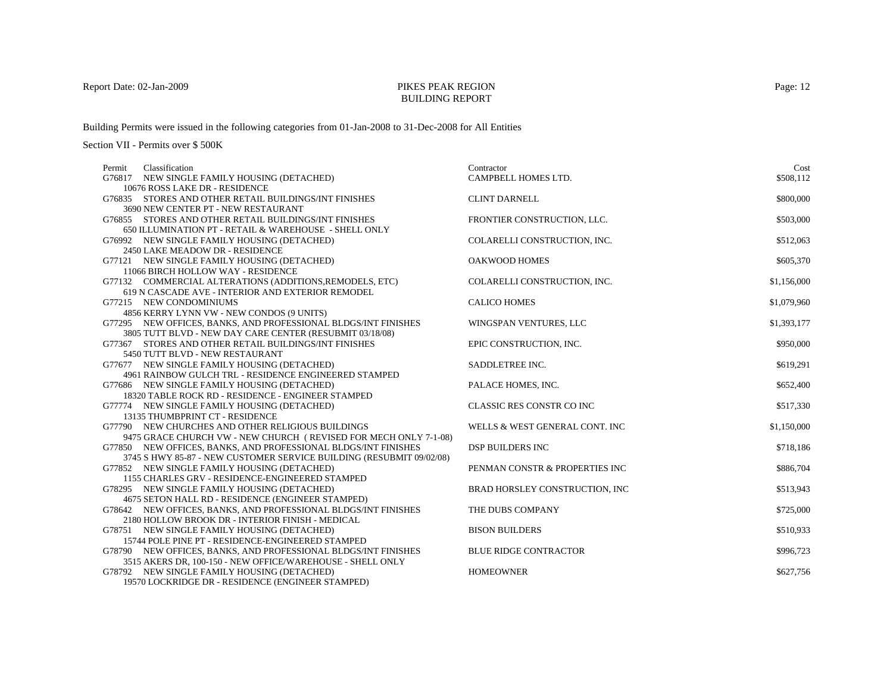## BUILDING REPORT

Building Permits were issued in the following categories from 01-Jan-2008 to 31-Dec-2008 for All Entities

Section VII - Permits over \$ 500K

| Permit | Classification                                                       | Contractor                     | Cost        |
|--------|----------------------------------------------------------------------|--------------------------------|-------------|
|        | G76817 NEW SINGLE FAMILY HOUSING (DETACHED)                          | CAMPBELL HOMES LTD.            | \$508.112   |
|        | 10676 ROSS LAKE DR - RESIDENCE                                       |                                |             |
|        | G76835 STORES AND OTHER RETAIL BUILDINGS/INT FINISHES                | <b>CLINT DARNELL</b>           | \$800,000   |
|        | 3690 NEW CENTER PT - NEW RESTAURANT                                  |                                |             |
|        | G76855 STORES AND OTHER RETAIL BUILDINGS/INT FINISHES                | FRONTIER CONSTRUCTION, LLC.    | \$503,000   |
|        | 650 ILLUMINATION PT - RETAIL & WAREHOUSE - SHELL ONLY                |                                |             |
|        | G76992 NEW SINGLE FAMILY HOUSING (DETACHED)                          | COLARELLI CONSTRUCTION, INC.   | \$512,063   |
|        | 2450 LAKE MEADOW DR - RESIDENCE                                      |                                |             |
|        | G77121 NEW SINGLE FAMILY HOUSING (DETACHED)                          | OAKWOOD HOMES                  | \$605,370   |
|        | 11066 BIRCH HOLLOW WAY - RESIDENCE                                   |                                |             |
|        | G77132 COMMERCIAL ALTERATIONS (ADDITIONS, REMODELS, ETC)             | COLARELLI CONSTRUCTION, INC.   | \$1,156,000 |
|        | 619 N CASCADE AVE - INTERIOR AND EXTERIOR REMODEL                    |                                |             |
|        | G77215 NEW CONDOMINIUMS                                              | <b>CALICO HOMES</b>            | \$1,079,960 |
|        | 4856 KERRY LYNN VW - NEW CONDOS (9 UNITS)                            |                                |             |
|        | G77295 NEW OFFICES, BANKS, AND PROFESSIONAL BLDGS/INT FINISHES       | WINGSPAN VENTURES, LLC         | \$1,393,177 |
|        | 3805 TUTT BLVD - NEW DAY CARE CENTER (RESUBMIT 03/18/08)             |                                |             |
|        | G77367 STORES AND OTHER RETAIL BUILDINGS/INT FINISHES                | EPIC CONSTRUCTION, INC.        | \$950,000   |
|        | 5450 TUTT BLVD - NEW RESTAURANT                                      |                                |             |
|        | G77677 NEW SINGLE FAMILY HOUSING (DETACHED)                          | SADDLETREE INC.                | \$619,291   |
|        | 4961 RAINBOW GULCH TRL - RESIDENCE ENGINEERED STAMPED                |                                |             |
|        | G77686 NEW SINGLE FAMILY HOUSING (DETACHED)                          | PALACE HOMES, INC.             | \$652,400   |
|        | 18320 TABLE ROCK RD - RESIDENCE - ENGINEER STAMPED                   |                                |             |
|        | G77774 NEW SINGLE FAMILY HOUSING (DETACHED)                          | CLASSIC RES CONSTR CO INC      | \$517,330   |
|        | 13135 THUMBPRINT CT - RESIDENCE                                      |                                |             |
|        | G77790 NEW CHURCHES AND OTHER RELIGIOUS BUILDINGS                    | WELLS & WEST GENERAL CONT. INC | \$1,150,000 |
|        | 9475 GRACE CHURCH VW - NEW CHURCH (REVISED FOR MECH ONLY 7-1-08)     |                                |             |
|        | G77850 NEW OFFICES, BANKS, AND PROFESSIONAL BLDGS/INT FINISHES       | <b>DSP BUILDERS INC</b>        | \$718,186   |
|        | 3745 S HWY 85-87 - NEW CUSTOMER SERVICE BUILDING (RESUBMIT 09/02/08) |                                |             |
|        | G77852 NEW SINGLE FAMILY HOUSING (DETACHED)                          | PENMAN CONSTR & PROPERTIES INC | \$886,704   |
|        | 1155 CHARLES GRV - RESIDENCE-ENGINEERED STAMPED                      |                                |             |
|        | G78295 NEW SINGLE FAMILY HOUSING (DETACHED)                          | BRAD HORSLEY CONSTRUCTION, INC | \$513,943   |
|        | 4675 SETON HALL RD - RESIDENCE (ENGINEER STAMPED)                    |                                |             |
|        | G78642 NEW OFFICES, BANKS, AND PROFESSIONAL BLDGS/INT FINISHES       | THE DUBS COMPANY               | \$725,000   |
|        | 2180 HOLLOW BROOK DR - INTERIOR FINISH - MEDICAL                     |                                |             |
|        | G78751 NEW SINGLE FAMILY HOUSING (DETACHED)                          | <b>BISON BUILDERS</b>          | \$510,933   |
|        | 15744 POLE PINE PT - RESIDENCE-ENGINEERED STAMPED                    |                                |             |
|        | G78790 NEW OFFICES, BANKS, AND PROFESSIONAL BLDGS/INT FINISHES       | <b>BLUE RIDGE CONTRACTOR</b>   | \$996,723   |
|        | 3515 AKERS DR, 100-150 - NEW OFFICE/WAREHOUSE - SHELL ONLY           |                                |             |
|        | G78792 NEW SINGLE FAMILY HOUSING (DETACHED)                          | <b>HOMEOWNER</b>               | \$627,756   |

19570 LOCKRIDGE DR - RESIDENCE (ENGINEER STAMPED)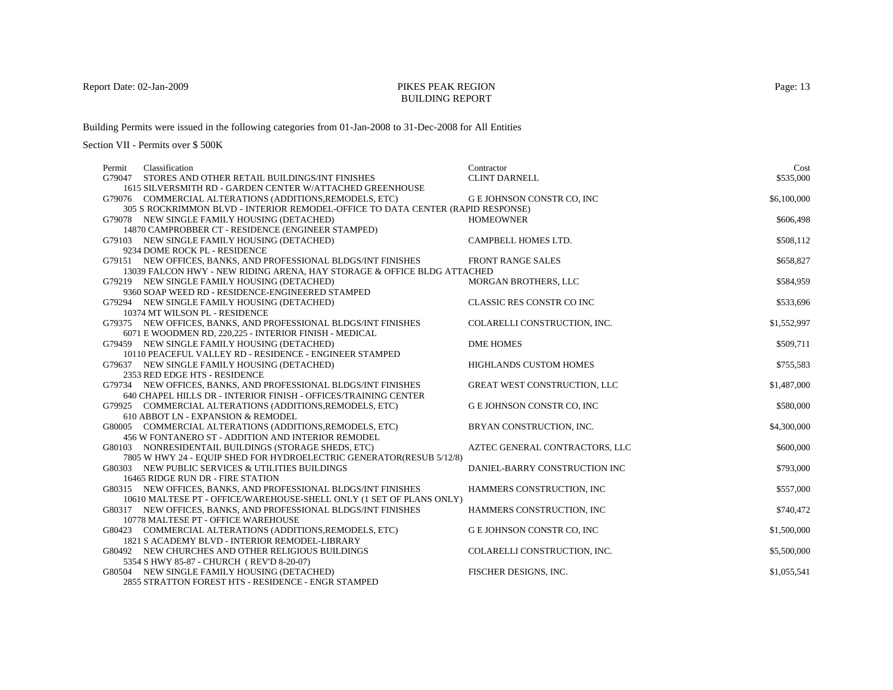## BUILDING REPORT

Building Permits were issued in the following categories from 01-Jan-2008 to 31-Dec-2008 for All Entities

| Classification<br>Permit                                                                       | Contractor                        | Cost        |
|------------------------------------------------------------------------------------------------|-----------------------------------|-------------|
| G79047<br>STORES AND OTHER RETAIL BUILDINGS/INT FINISHES                                       | <b>CLINT DARNELL</b>              | \$535,000   |
| 1615 SILVERSMITH RD - GARDEN CENTER W/ATTACHED GREENHOUSE                                      |                                   |             |
| G79076 COMMERCIAL ALTERATIONS (ADDITIONS, REMODELS, ETC)                                       | <b>G E JOHNSON CONSTR CO, INC</b> | \$6,100,000 |
| 305 S ROCKRIMMON BLVD - INTERIOR REMODEL-OFFICE TO DATA CENTER (RAPID RESPONSE)                |                                   |             |
| G79078 NEW SINGLE FAMILY HOUSING (DETACHED)                                                    | <b>HOMEOWNER</b>                  | \$606,498   |
| 14870 CAMPROBBER CT - RESIDENCE (ENGINEER STAMPED)                                             |                                   |             |
| G79103 NEW SINGLE FAMILY HOUSING (DETACHED)                                                    | CAMPBELL HOMES LTD.               | \$508,112   |
| 9234 DOME ROCK PL - RESIDENCE                                                                  |                                   |             |
| G79151 NEW OFFICES, BANKS, AND PROFESSIONAL BLDGS/INT FINISHES                                 | <b>FRONT RANGE SALES</b>          | \$658,827   |
| 13039 FALCON HWY - NEW RIDING ARENA, HAY STORAGE & OFFICE BLDG ATTACHED                        |                                   |             |
| G79219 NEW SINGLE FAMILY HOUSING (DETACHED)                                                    | MORGAN BROTHERS, LLC              | \$584,959   |
| 9360 SOAP WEED RD - RESIDENCE-ENGINEERED STAMPED                                               |                                   |             |
| G79294 NEW SINGLE FAMILY HOUSING (DETACHED)                                                    | CLASSIC RES CONSTR CO INC         | \$533,696   |
| 10374 MT WILSON PL - RESIDENCE                                                                 |                                   |             |
| G79375 NEW OFFICES, BANKS, AND PROFESSIONAL BLDGS/INT FINISHES                                 | COLARELLI CONSTRUCTION, INC.      | \$1,552,997 |
| 6071 E WOODMEN RD, 220,225 - INTERIOR FINISH - MEDICAL                                         |                                   |             |
| G79459 NEW SINGLE FAMILY HOUSING (DETACHED)                                                    | <b>DME HOMES</b>                  | \$509,711   |
| 10110 PEACEFUL VALLEY RD - RESIDENCE - ENGINEER STAMPED                                        |                                   |             |
| G79637 NEW SINGLE FAMILY HOUSING (DETACHED)                                                    | HIGHLANDS CUSTOM HOMES            | \$755,583   |
| 2353 RED EDGE HTS - RESIDENCE                                                                  |                                   |             |
| G79734 NEW OFFICES, BANKS, AND PROFESSIONAL BLDGS/INT FINISHES                                 | GREAT WEST CONSTRUCTION, LLC      | \$1,487,000 |
| 640 CHAPEL HILLS DR - INTERIOR FINISH - OFFICES/TRAINING CENTER                                |                                   |             |
| G79925 COMMERCIAL ALTERATIONS (ADDITIONS, REMODELS, ETC)                                       | G E JOHNSON CONSTR CO, INC        | \$580,000   |
| 610 ABBOT LN - EXPANSION & REMODEL<br>G80005 COMMERCIAL ALTERATIONS (ADDITIONS, REMODELS, ETC) | BRYAN CONSTRUCTION, INC.          | \$4,300,000 |
| 456 W FONTANERO ST - ADDITION AND INTERIOR REMODEL                                             |                                   |             |
| G80103 NONRESIDENTAIL BUILDINGS (STORAGE SHEDS, ETC)                                           | AZTEC GENERAL CONTRACTORS, LLC    | \$600,000   |
| 7805 W HWY 24 - EQUIP SHED FOR HYDROELECTRIC GENERATOR(RESUB 5/12/8)                           |                                   |             |
| G80303 NEW PUBLIC SERVICES & UTILITIES BUILDINGS                                               | DANIEL-BARRY CONSTRUCTION INC     | \$793,000   |
| 16465 RIDGE RUN DR - FIRE STATION                                                              |                                   |             |
| G80315 NEW OFFICES, BANKS, AND PROFESSIONAL BLDGS/INT FINISHES                                 | HAMMERS CONSTRUCTION, INC         | \$557,000   |
| 10610 MALTESE PT - OFFICE/WAREHOUSE-SHELL ONLY (1 SET OF PLANS ONLY)                           |                                   |             |
| G80317 NEW OFFICES, BANKS, AND PROFESSIONAL BLDGS/INT FINISHES                                 | HAMMERS CONSTRUCTION, INC         | \$740,472   |
| 10778 MALTESE PT - OFFICE WAREHOUSE                                                            |                                   |             |
| G80423 COMMERCIAL ALTERATIONS (ADDITIONS, REMODELS, ETC)                                       | G E JOHNSON CONSTR CO, INC        | \$1,500,000 |
| 1821 S ACADEMY BLVD - INTERIOR REMODEL-LIBRARY                                                 |                                   |             |
| G80492 NEW CHURCHES AND OTHER RELIGIOUS BUILDINGS                                              | COLARELLI CONSTRUCTION, INC.      | \$5,500,000 |
| 5354 S HWY 85-87 - CHURCH (REV'D 8-20-07)                                                      |                                   |             |
| G80504 NEW SINGLE FAMILY HOUSING (DETACHED)                                                    | FISCHER DESIGNS, INC.             | \$1,055,541 |
| 2855 STRATTON FOREST HTS - RESIDENCE - ENGR STAMPED                                            |                                   |             |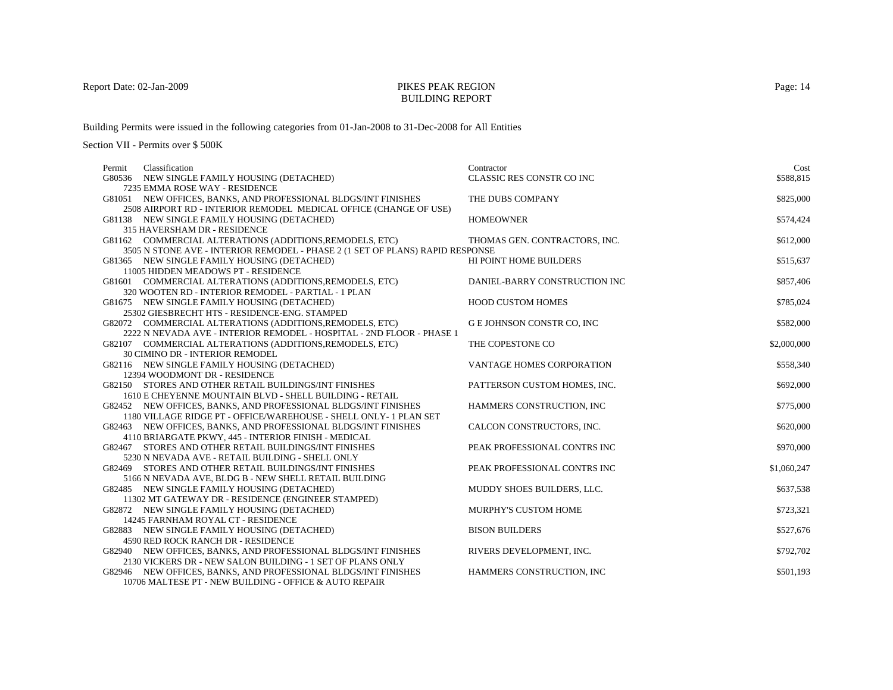#### BUILDING REPORT

Building Permits were issued in the following categories from 01-Jan-2008 to 31-Dec-2008 for All Entities

| Permit | Classification                                                                               | Contractor                    | Cost        |
|--------|----------------------------------------------------------------------------------------------|-------------------------------|-------------|
|        | G80536 NEW SINGLE FAMILY HOUSING (DETACHED)                                                  | CLASSIC RES CONSTR CO INC     | \$588,815   |
|        | 7235 EMMA ROSE WAY - RESIDENCE                                                               |                               |             |
|        | G81051 NEW OFFICES, BANKS, AND PROFESSIONAL BLDGS/INT FINISHES                               | THE DUBS COMPANY              | \$825,000   |
|        | 2508 AIRPORT RD - INTERIOR REMODEL MEDICAL OFFICE (CHANGE OF USE)                            |                               |             |
|        | G81138 NEW SINGLE FAMILY HOUSING (DETACHED)                                                  | <b>HOMEOWNER</b>              | \$574,424   |
|        | 315 HAVERSHAM DR - RESIDENCE                                                                 |                               |             |
|        | G81162 COMMERCIAL ALTERATIONS (ADDITIONS, REMODELS, ETC)                                     | THOMAS GEN. CONTRACTORS, INC. | \$612,000   |
|        | 3505 N STONE AVE - INTERIOR REMODEL - PHASE 2 (1 SET OF PLANS) RAPID RESPONSE                |                               |             |
|        | G81365 NEW SINGLE FAMILY HOUSING (DETACHED)                                                  | HI POINT HOME BUILDERS        | \$515,637   |
|        | 11005 HIDDEN MEADOWS PT - RESIDENCE                                                          |                               |             |
|        | G81601 COMMERCIAL ALTERATIONS (ADDITIONS, REMODELS, ETC)                                     | DANIEL-BARRY CONSTRUCTION INC | \$857,406   |
|        | 320 WOOTEN RD - INTERIOR REMODEL - PARTIAL - 1 PLAN                                          | <b>HOOD CUSTOM HOMES</b>      | \$785,024   |
|        | G81675 NEW SINGLE FAMILY HOUSING (DETACHED)<br>25302 GIESBRECHT HTS - RESIDENCE-ENG. STAMPED |                               |             |
|        | G82072 COMMERCIAL ALTERATIONS (ADDITIONS, REMODELS, ETC)                                     | G E JOHNSON CONSTR CO, INC    | \$582,000   |
|        | 2222 N NEVADA AVE - INTERIOR REMODEL - HOSPITAL - 2ND FLOOR - PHASE 1                        |                               |             |
|        | G82107 COMMERCIAL ALTERATIONS (ADDITIONS, REMODELS, ETC)                                     | THE COPESTONE CO              | \$2,000,000 |
|        | 30 CIMINO DR - INTERIOR REMODEL                                                              |                               |             |
|        | G82116 NEW SINGLE FAMILY HOUSING (DETACHED)                                                  | VANTAGE HOMES CORPORATION     | \$558,340   |
|        | 12394 WOODMONT DR - RESIDENCE                                                                |                               |             |
|        | G82150 STORES AND OTHER RETAIL BUILDINGS/INT FINISHES                                        | PATTERSON CUSTOM HOMES, INC.  | \$692,000   |
|        | 1610 E CHEYENNE MOUNTAIN BLVD - SHELL BUILDING - RETAIL                                      |                               |             |
|        | G82452 NEW OFFICES, BANKS, AND PROFESSIONAL BLDGS/INT FINISHES                               | HAMMERS CONSTRUCTION, INC     | \$775,000   |
|        | 1180 VILLAGE RIDGE PT - OFFICE/WAREHOUSE - SHELL ONLY- 1 PLAN SET                            |                               |             |
|        | G82463 NEW OFFICES, BANKS, AND PROFESSIONAL BLDGS/INT FINISHES                               | CALCON CONSTRUCTORS, INC.     | \$620,000   |
|        | 4110 BRIARGATE PKWY, 445 - INTERIOR FINISH - MEDICAL                                         |                               |             |
|        | G82467 STORES AND OTHER RETAIL BUILDINGS/INT FINISHES                                        | PEAK PROFESSIONAL CONTRS INC  | \$970,000   |
|        | 5230 N NEVADA AVE - RETAIL BUILDING - SHELL ONLY                                             |                               |             |
|        | G82469 STORES AND OTHER RETAIL BUILDINGS/INT FINISHES                                        | PEAK PROFESSIONAL CONTRS INC  | \$1,060,247 |
|        | 5166 N NEVADA AVE, BLDG B - NEW SHELL RETAIL BUILDING                                        |                               |             |
|        | G82485 NEW SINGLE FAMILY HOUSING (DETACHED)                                                  | MUDDY SHOES BUILDERS, LLC.    | \$637,538   |
|        | 11302 MT GATEWAY DR - RESIDENCE (ENGINEER STAMPED)                                           |                               |             |
|        | G82872 NEW SINGLE FAMILY HOUSING (DETACHED)                                                  | <b>MURPHY'S CUSTOM HOME</b>   | \$723,321   |
|        | 14245 FARNHAM ROYAL CT - RESIDENCE                                                           |                               |             |
|        | G82883 NEW SINGLE FAMILY HOUSING (DETACHED)                                                  | <b>BISON BUILDERS</b>         | \$527,676   |
|        | 4590 RED ROCK RANCH DR - RESIDENCE                                                           |                               |             |
|        | G82940 NEW OFFICES, BANKS, AND PROFESSIONAL BLDGS/INT FINISHES                               | RIVERS DEVELOPMENT, INC.      | \$792,702   |
|        | 2130 VICKERS DR - NEW SALON BUILDING - 1 SET OF PLANS ONLY                                   |                               |             |
|        | G82946 NEW OFFICES, BANKS, AND PROFESSIONAL BLDGS/INT FINISHES                               | HAMMERS CONSTRUCTION, INC     | \$501,193   |
|        | 10706 MALTESE PT - NEW BUILDING - OFFICE & AUTO REPAIR                                       |                               |             |